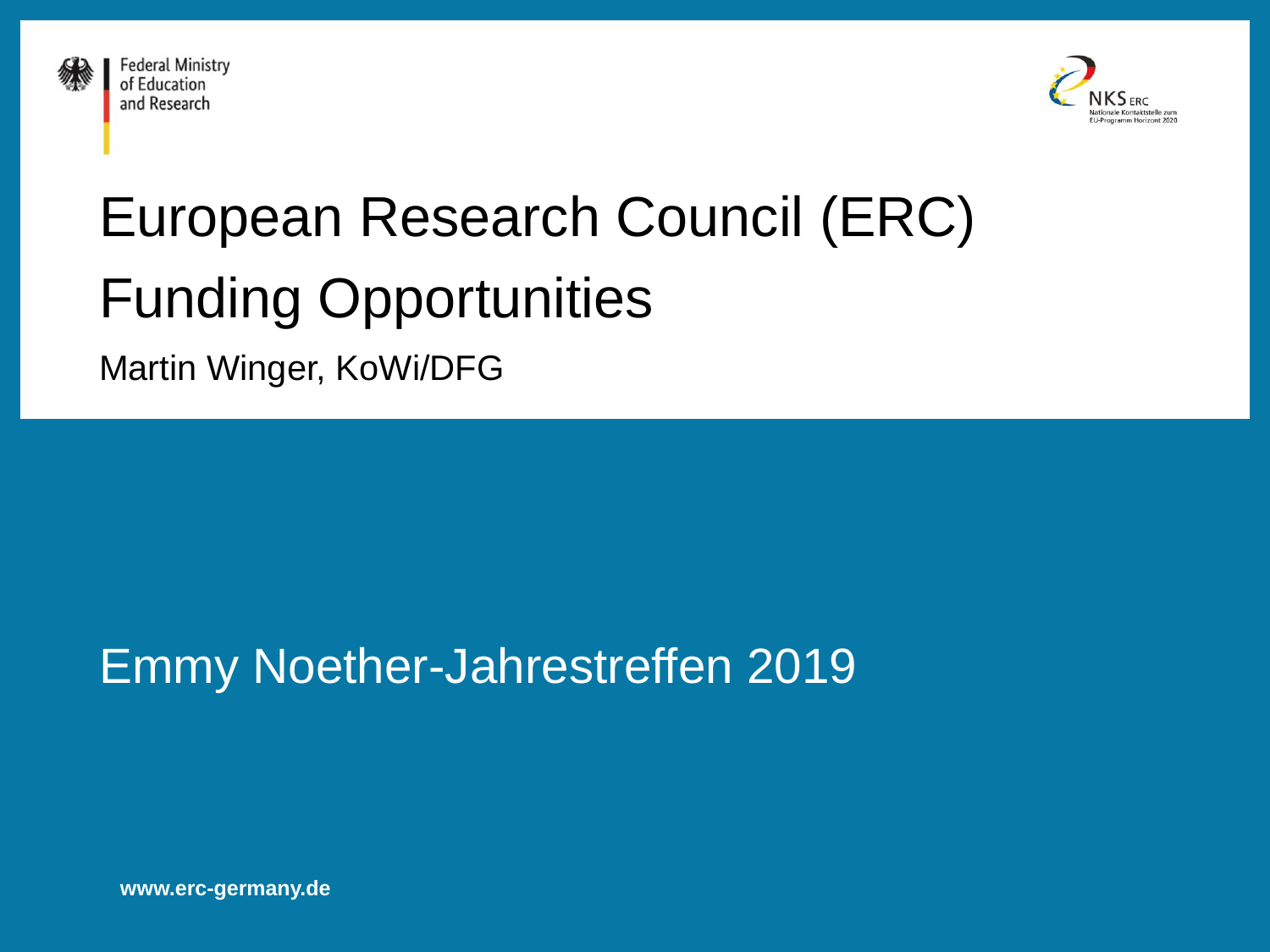



# European Research Council (ERC) Funding Opportunities

Martin Winger, KoWi/DFG

### Emmy Noether-Jahrestreffen 2019

**www.erc-germany.de**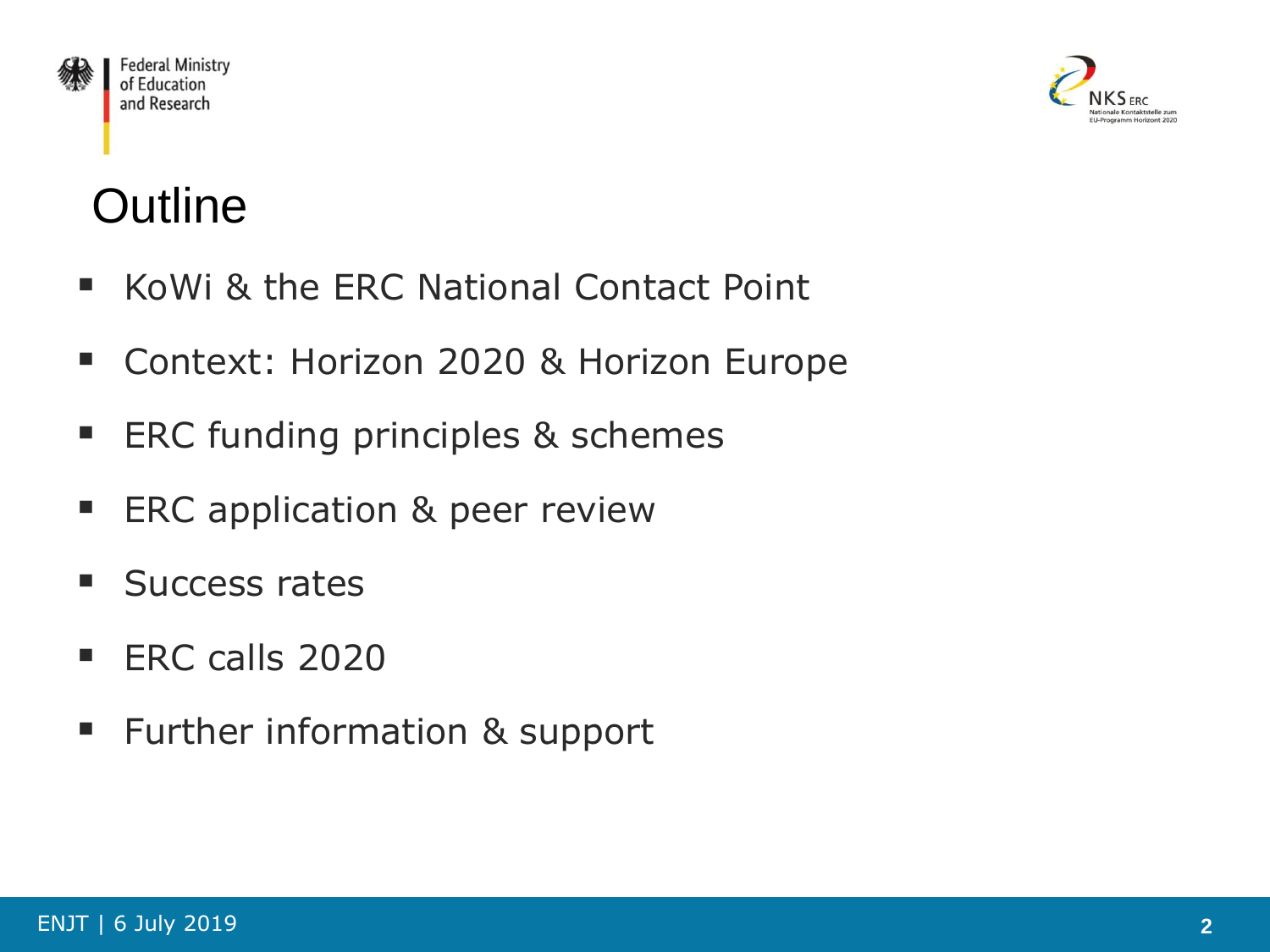



# **Outline**

- KoWi & the ERC National Contact Point
- **Context: Horizon 2020 & Horizon Europe**
- **ERC funding principles & schemes**
- **ERC application & peer review**
- **Success rates**
- **ERC calls 2020**
- **Further information & support**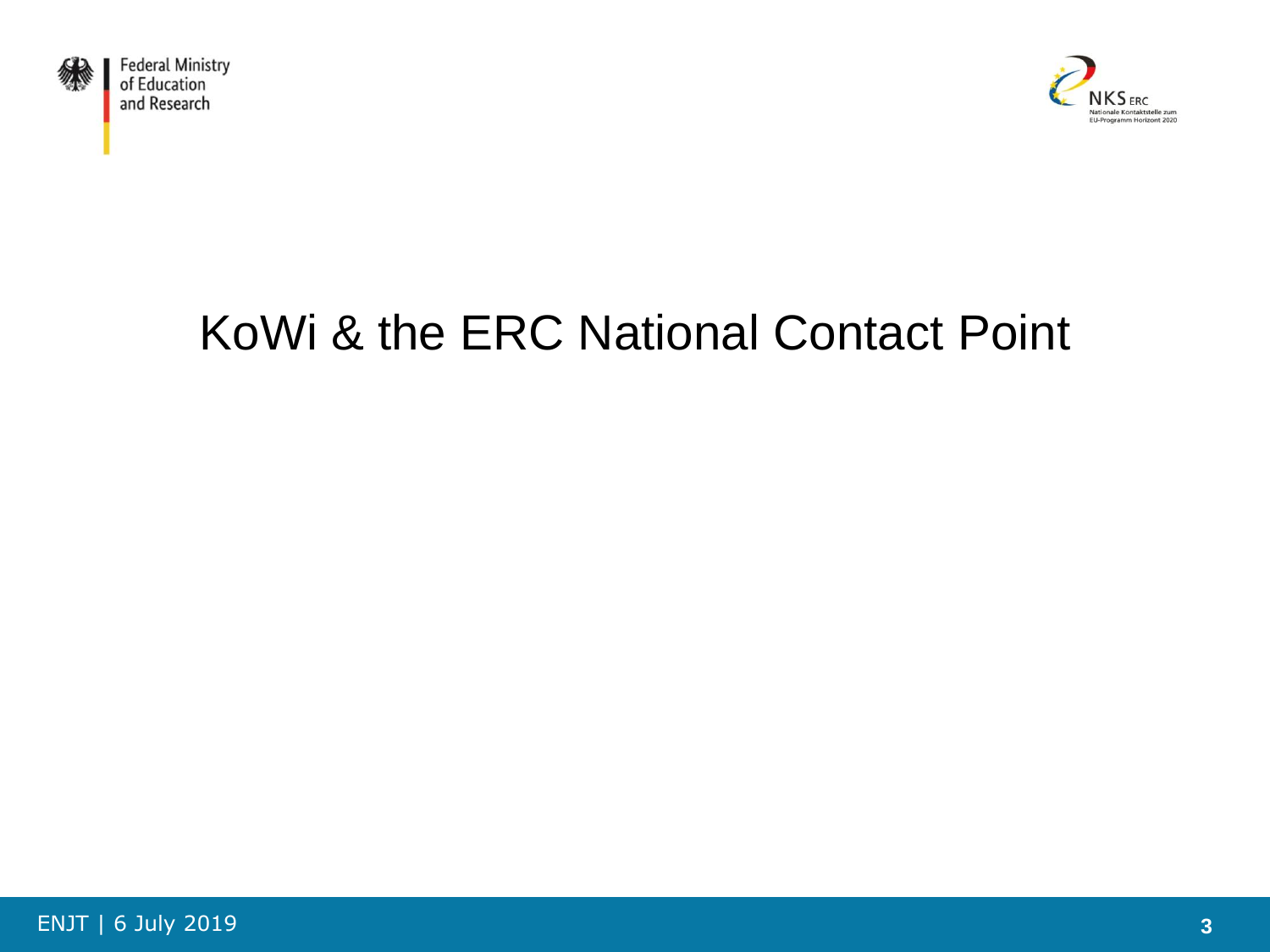



# KoWi & the ERC National Contact Point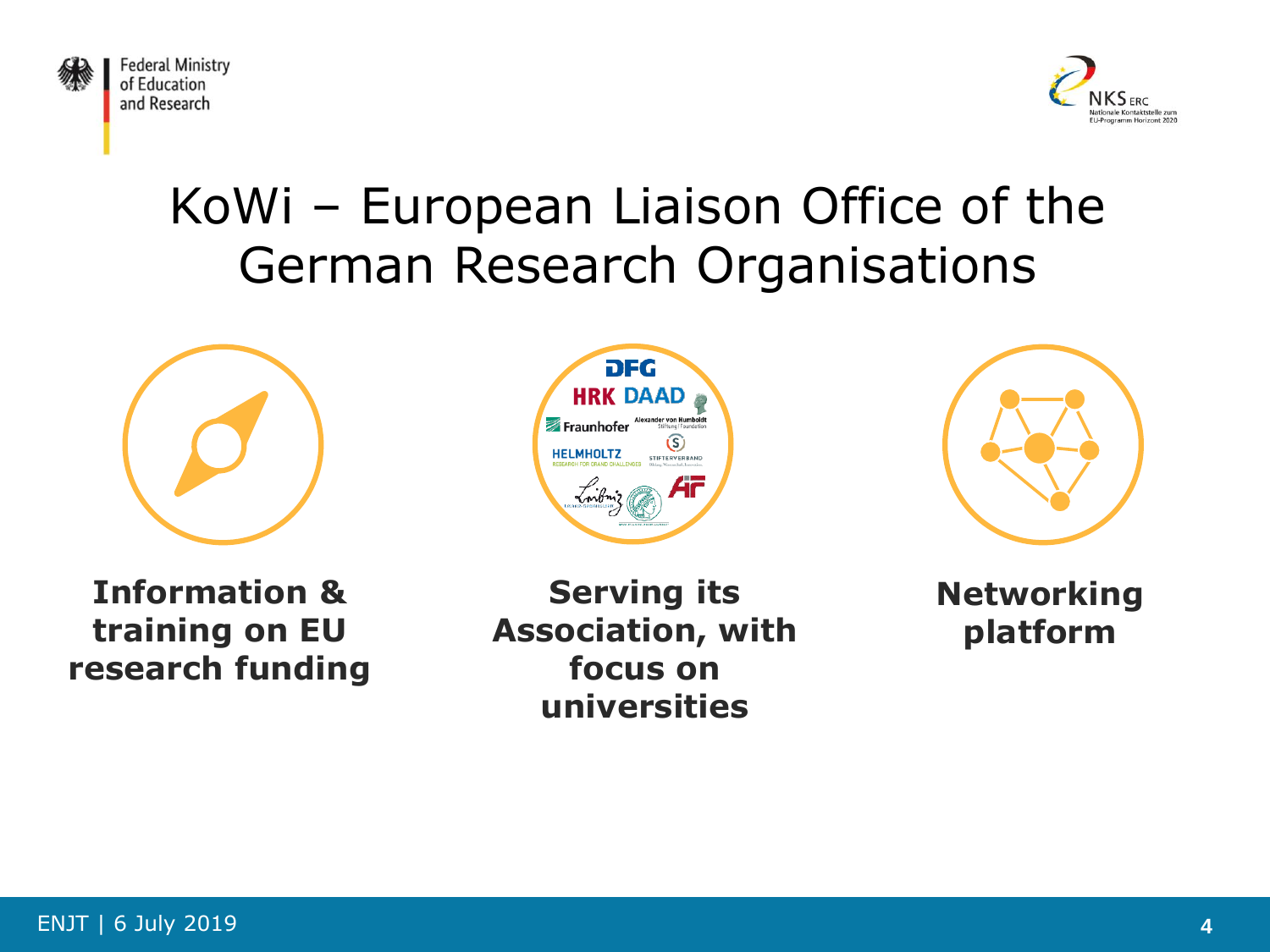



# KoWi – European Liaison Office of the German Research Organisations



**Information & training on EU research funding**





**Serving its Association, with focus on universities**

**Networking platform**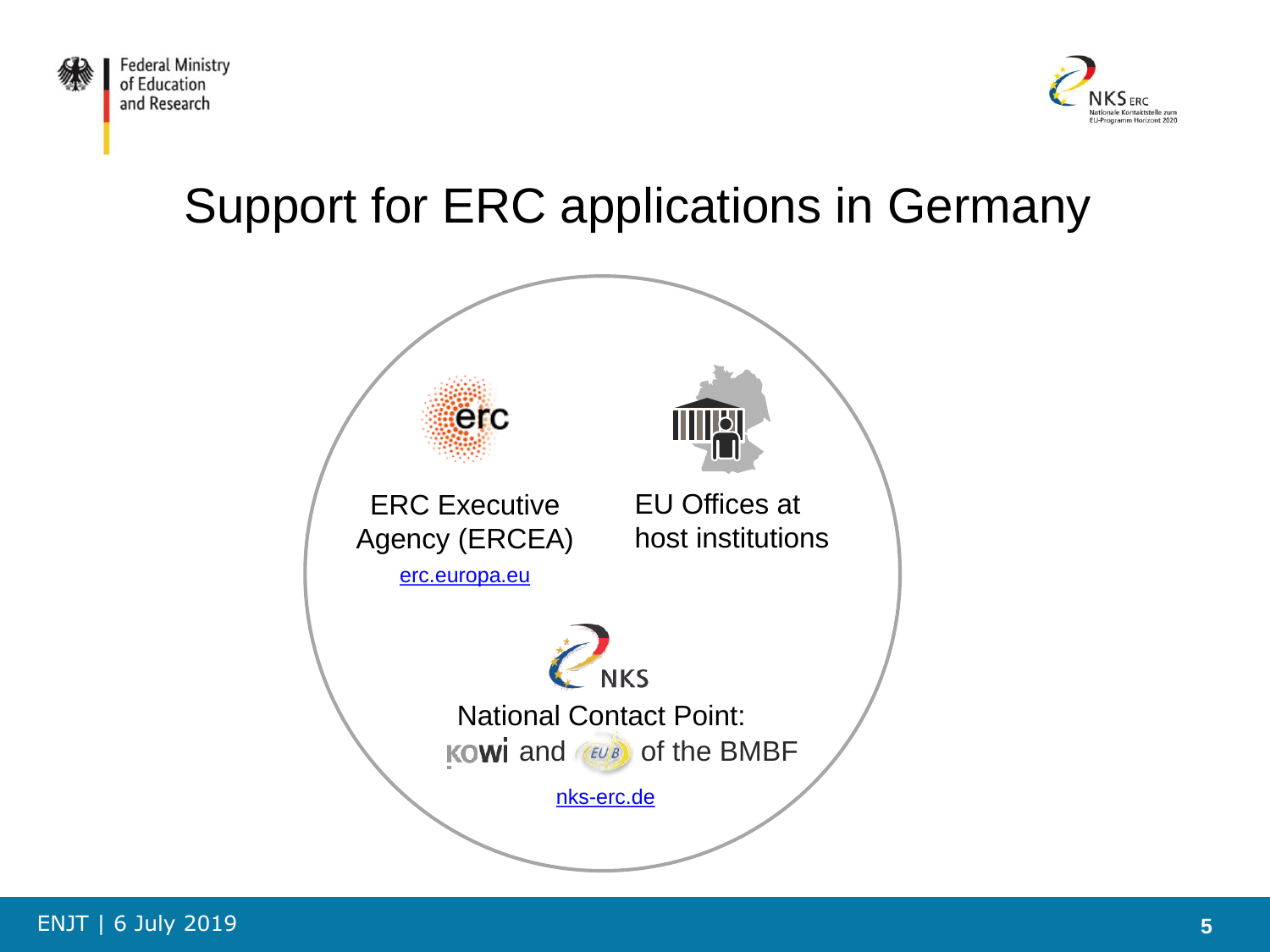



# Support for ERC applications in Germany

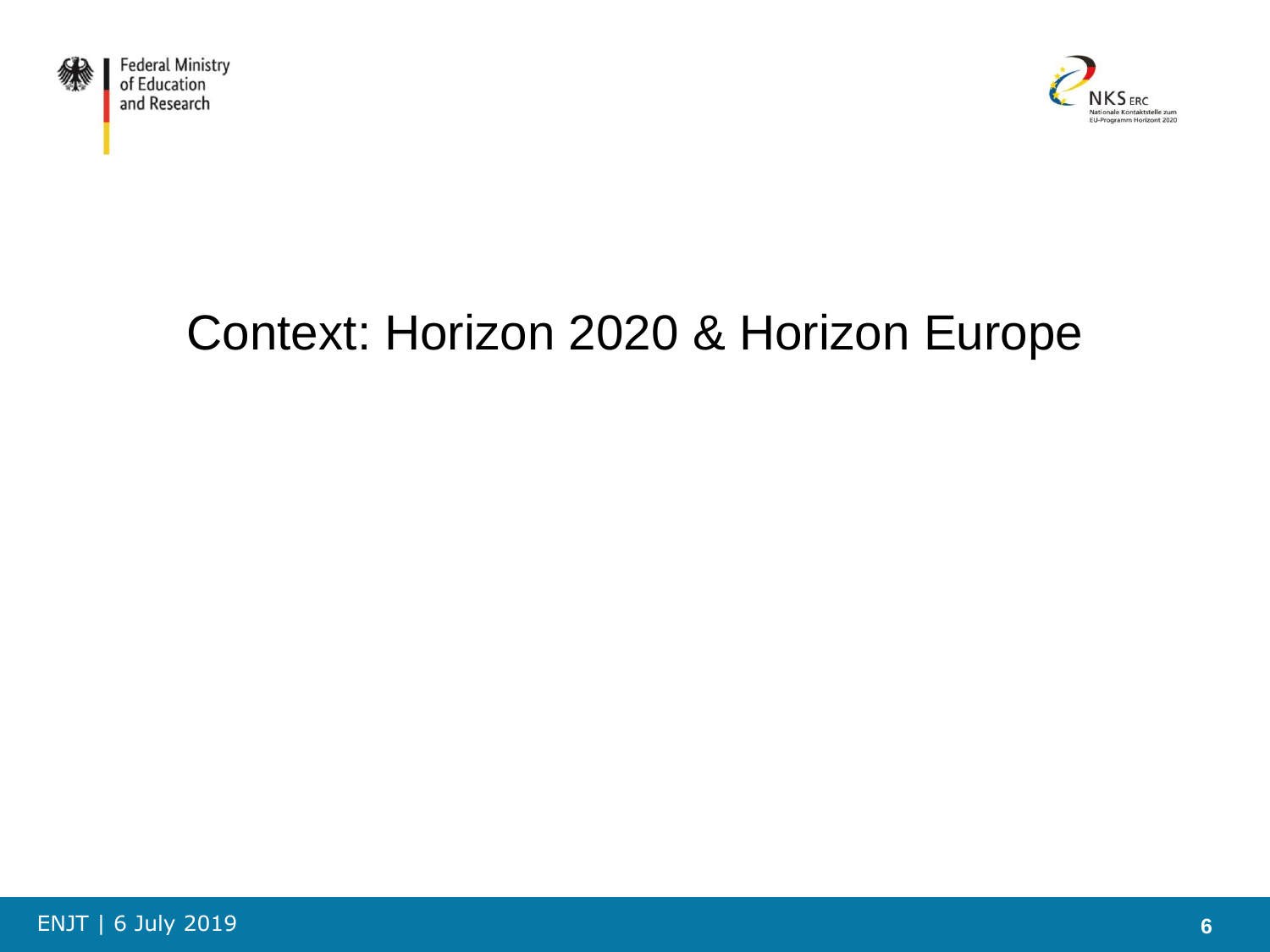



# Context: Horizon 2020 & Horizon Europe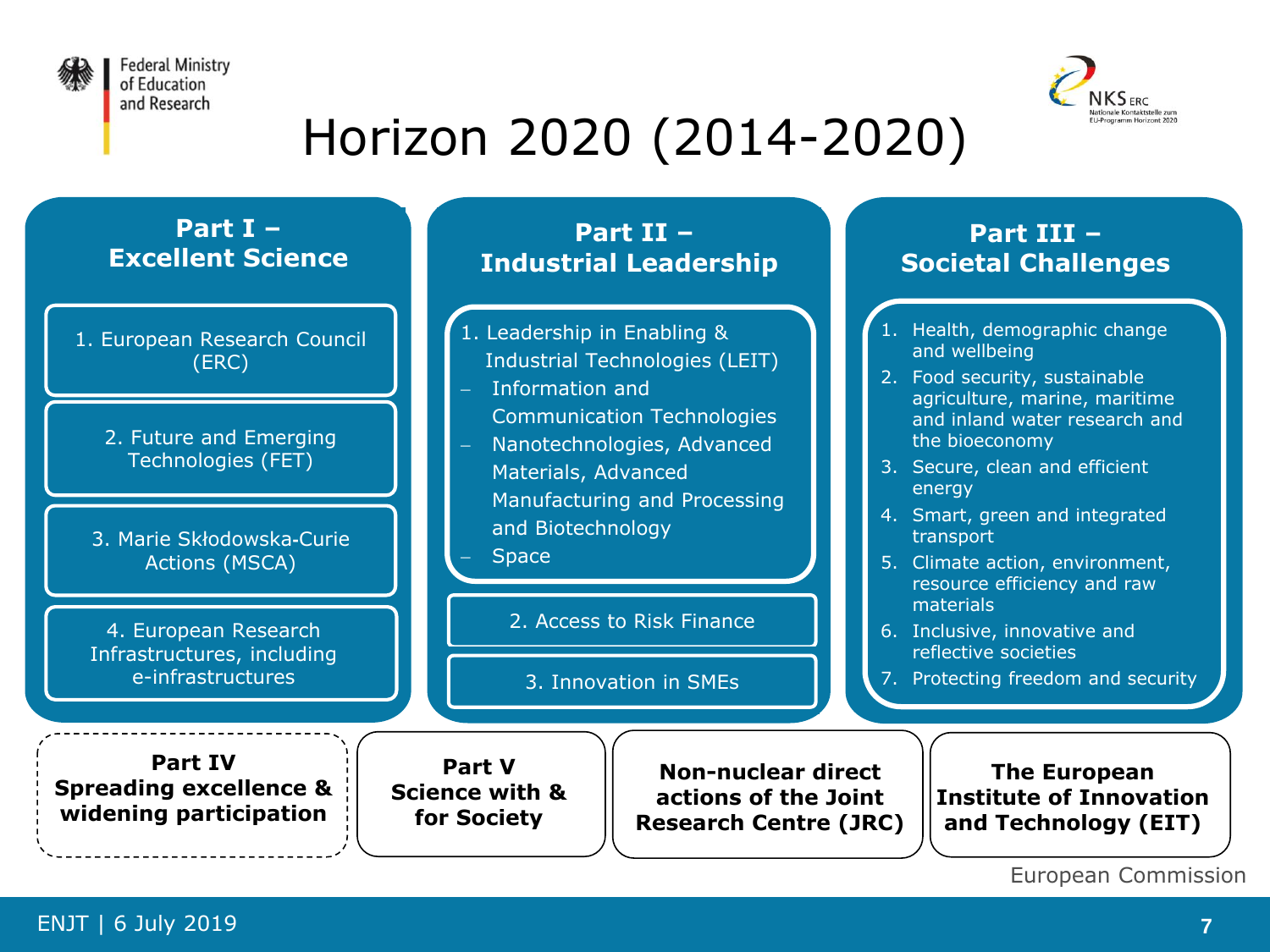



# Horizon 2020 (2014-2020)

#### **Part I – Excellent Science**

- 1. European Research Council (ERC)
	- 2. Future and Emerging Technologies (FET)
	- 3. Marie Skłodowska**-**Curie Actions (MSCA)

4. European Research Infrastructures, including e-infrastructures

**Part II – Industrial Leadership**

- 1. Leadership in Enabling & Industrial Technologies (LEIT)
- Information and Communication Technologies
- Nanotechnologies, Advanced Materials, Advanced Manufacturing and Processing and Biotechnology

**Space** 

2. Access to Risk Finance

3. Innovation in SMEs

#### **Part III – Societal Challenges**

- 1. Health, demographic change and wellbeing
- 2. Food security, sustainable agriculture, marine, maritime and inland water research and the bioeconomy
- 3. Secure, clean and efficient energy
- 4. Smart, green and integrated transport
- 5. Climate action, environment, resource efficiency and raw materials
- 6. Inclusive, innovative and reflective societies
- 7. Protecting freedom and security

**Part IV Spreading excellence & widening participation**

**Part V Science with & for Society**

**Non-nuclear direct actions of the Joint Research Centre (JRC)**

**The European Institute of Innovation and Technology (EIT)**

```
European Commission
```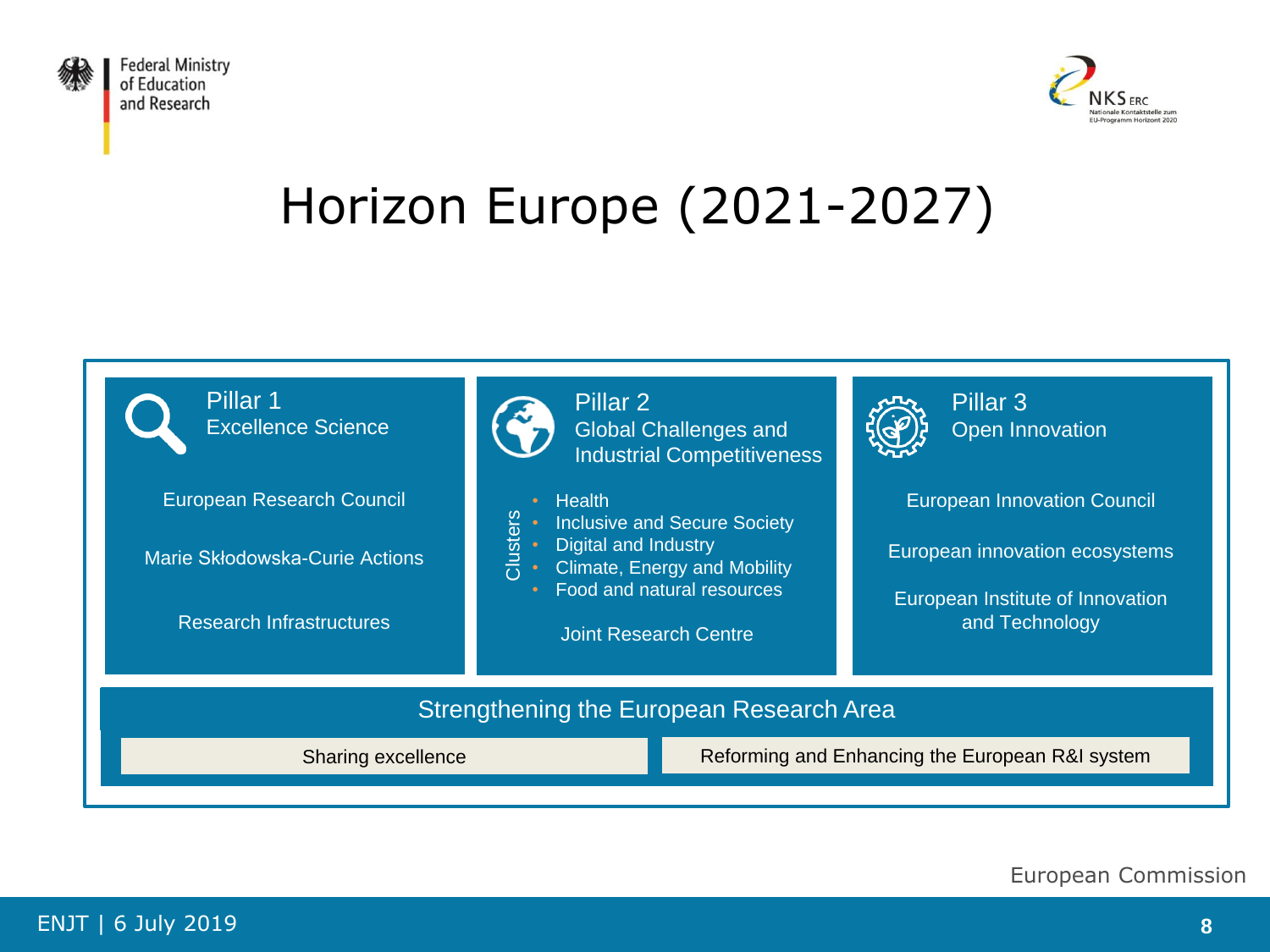



# Horizon Europe (2021-2027)



European Commission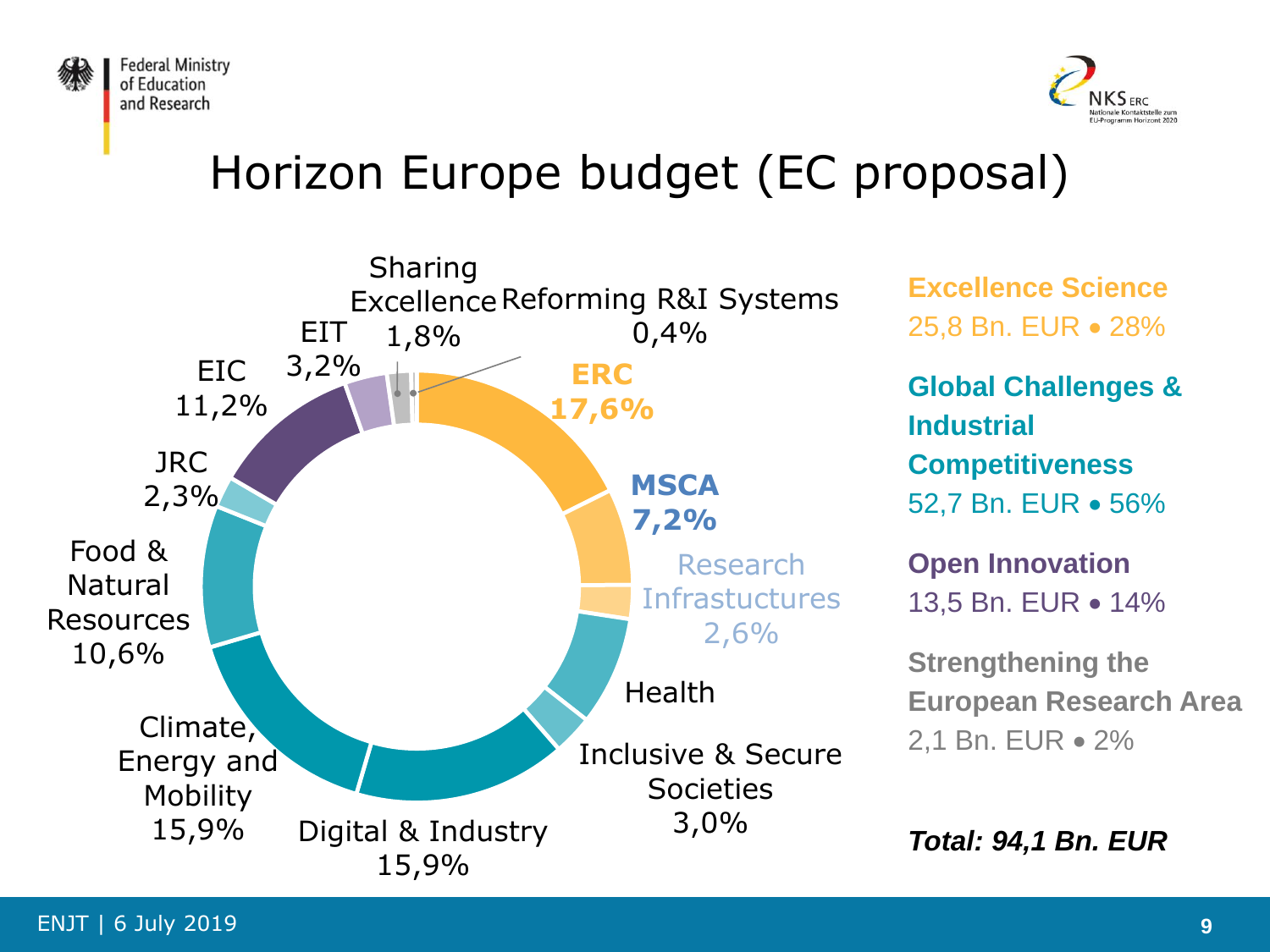



### Horizon Europe budget (EC proposal)



**Excellence Science** 25,8 Bn. EUR 28%

**Global Challenges & Industrial Competitiveness** 52.7 Bn. EUR • 56%

**Open Innovation** 13.5 Bn. EUR • 14%

**Strengthening the European Research Area** 2,1 Bn. EUR • 2%

*Total: 94,1 Bn. EUR*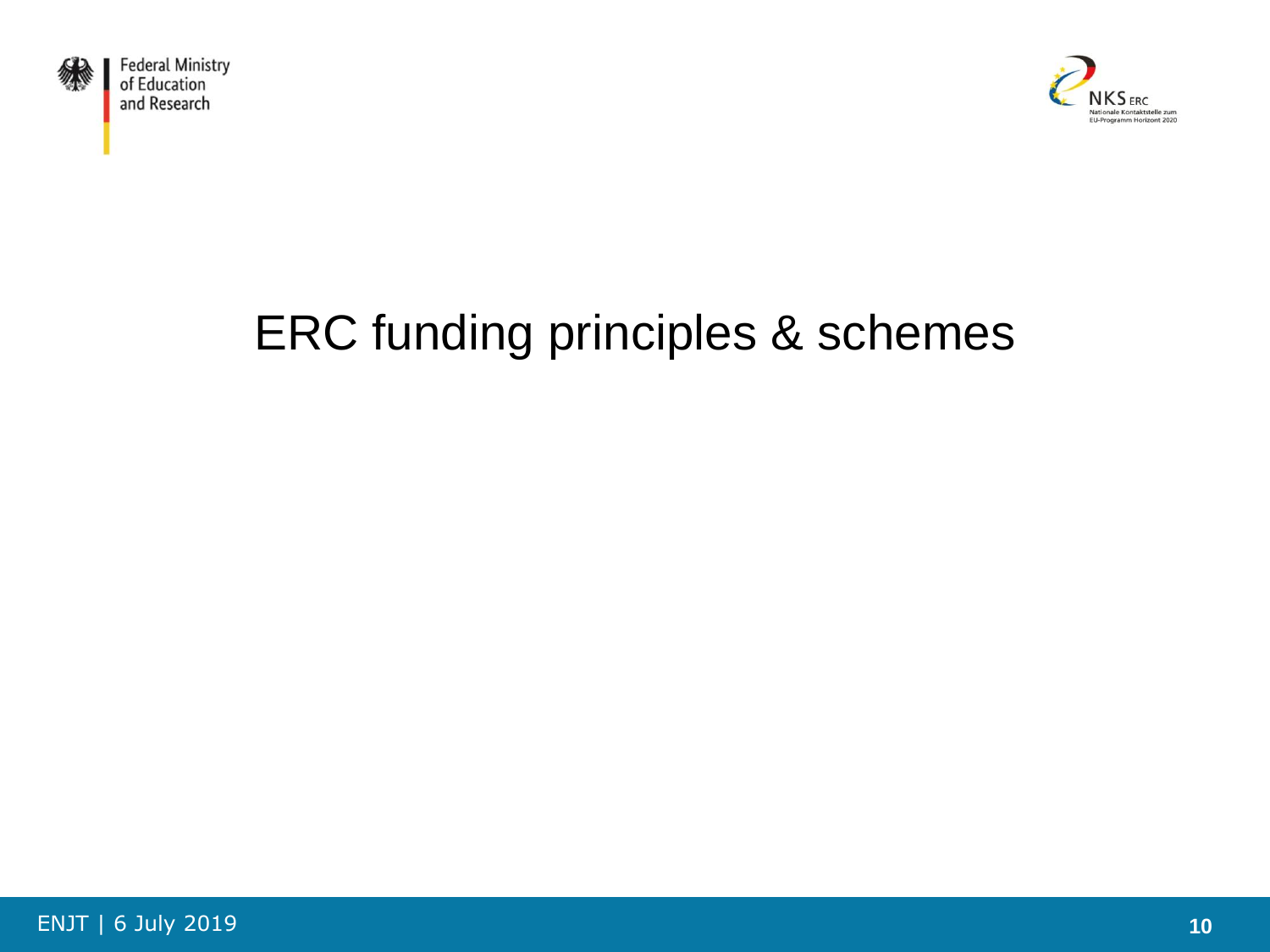



# ERC funding principles & schemes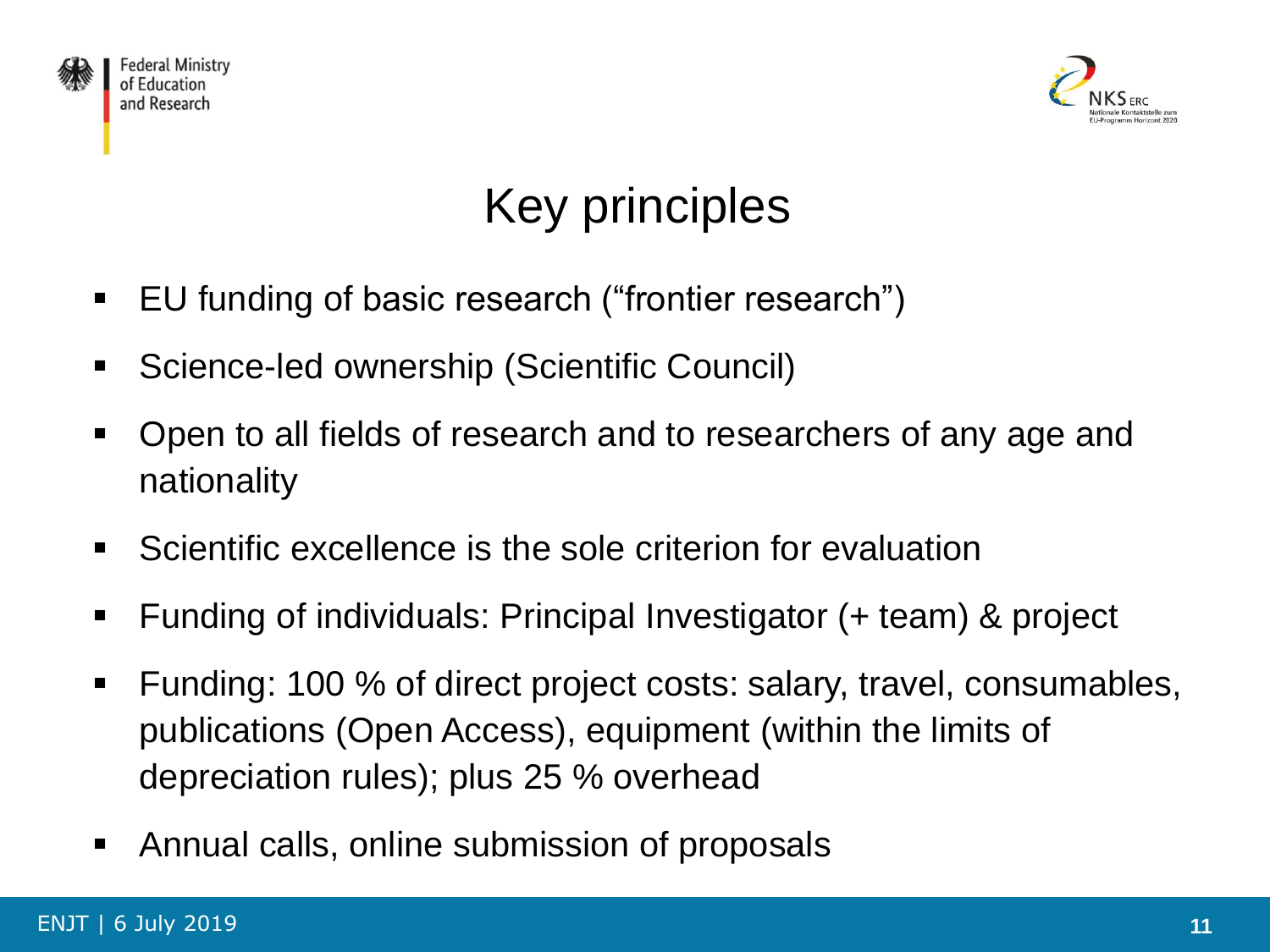



# Key principles

- EU funding of basic research ("frontier research")
- Science-led ownership (Scientific Council)
- **Den to all fields of research and to researchers of any age and** nationality
- **Scientific excellence is the sole criterion for evaluation**
- Funding of individuals: Principal Investigator (+ team) & project
- Funding: 100 % of direct project costs: salary, travel, consumables, publications (Open Access), equipment (within the limits of depreciation rules); plus 25 % overhead
- Annual calls, online submission of proposals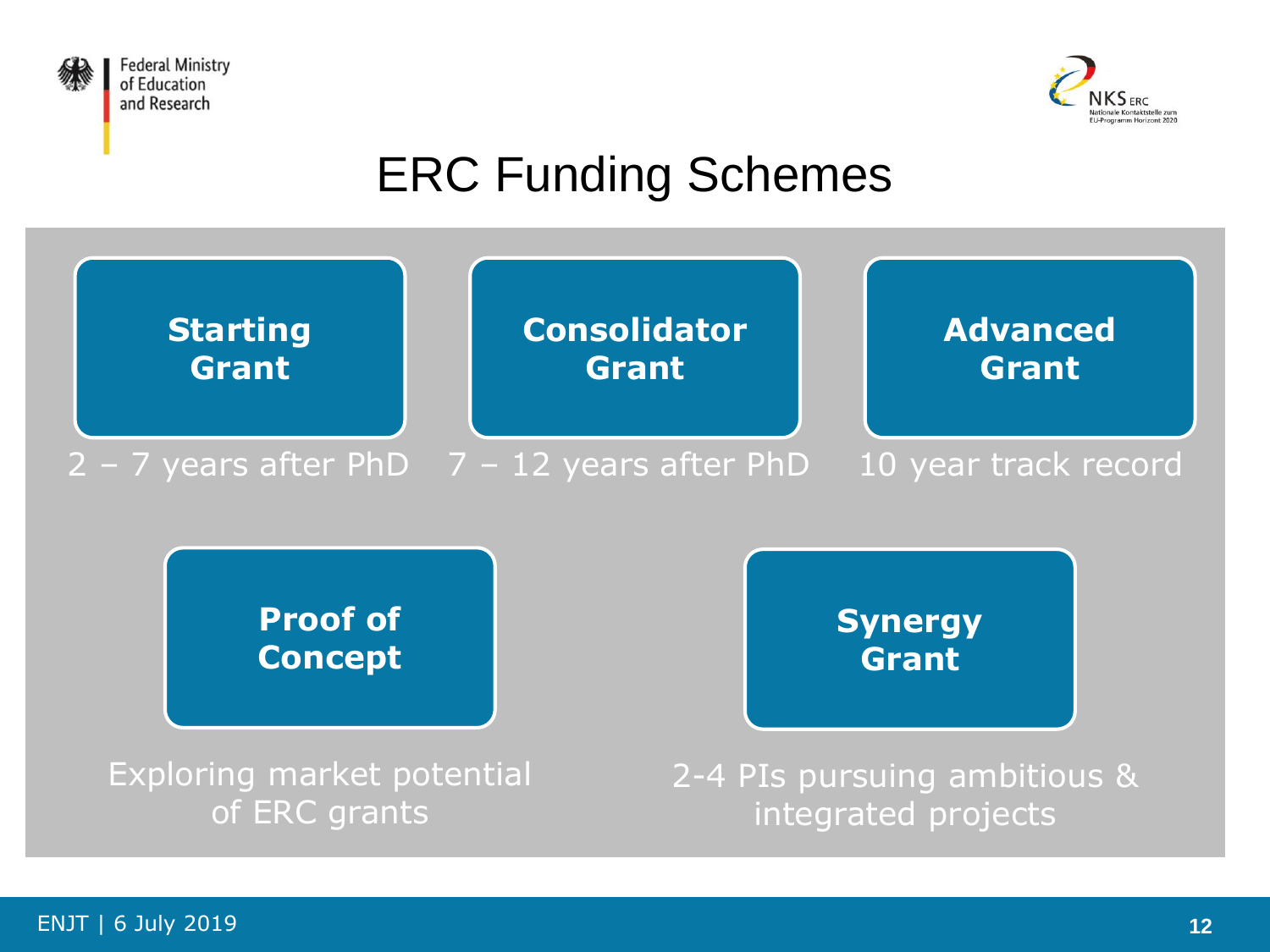



# ERC Funding Schemes

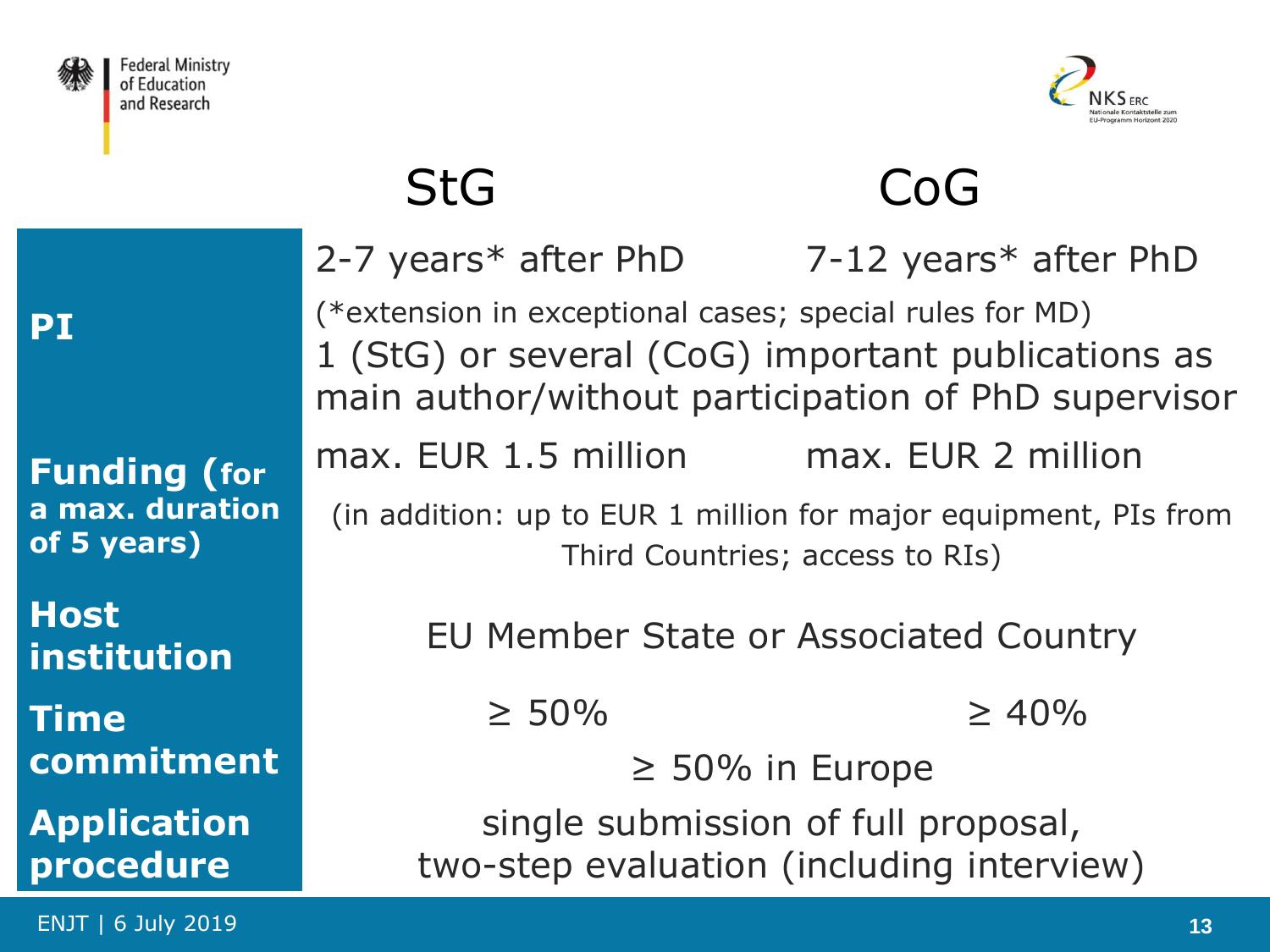



# StG CoG

|    | 2-7 years* after PhD                                                                                          | 7-12 years* after $PhD$                             |  |  |  |
|----|---------------------------------------------------------------------------------------------------------------|-----------------------------------------------------|--|--|--|
|    | (*extension in exceptional cases; special rules for MD)<br>1 (StG) or several (CoG) important publications as |                                                     |  |  |  |
|    |                                                                                                               | main author/without participation of PhD supervisor |  |  |  |
| br | max. EUR 1.5 million max. EUR 2 million                                                                       |                                                     |  |  |  |
| on | (in addition: up to EUR 1 million for major equipment, PIs from<br>Third Countries; access to RIs)            |                                                     |  |  |  |
|    |                                                                                                               | EU Member State or Associated Country               |  |  |  |
|    | $\geq 50\%$                                                                                                   | $\geq 40\%$                                         |  |  |  |
| nt | $\geq 50\%$ in Europe                                                                                         |                                                     |  |  |  |
| ĥ  | single submission of full proposal,                                                                           |                                                     |  |  |  |
|    |                                                                                                               | two-step evaluation (including interview)           |  |  |  |

**PI**

**Funding (for a max. durati of 5 years)**

**Host institution** 

**Time commitme** 

**Application procedure**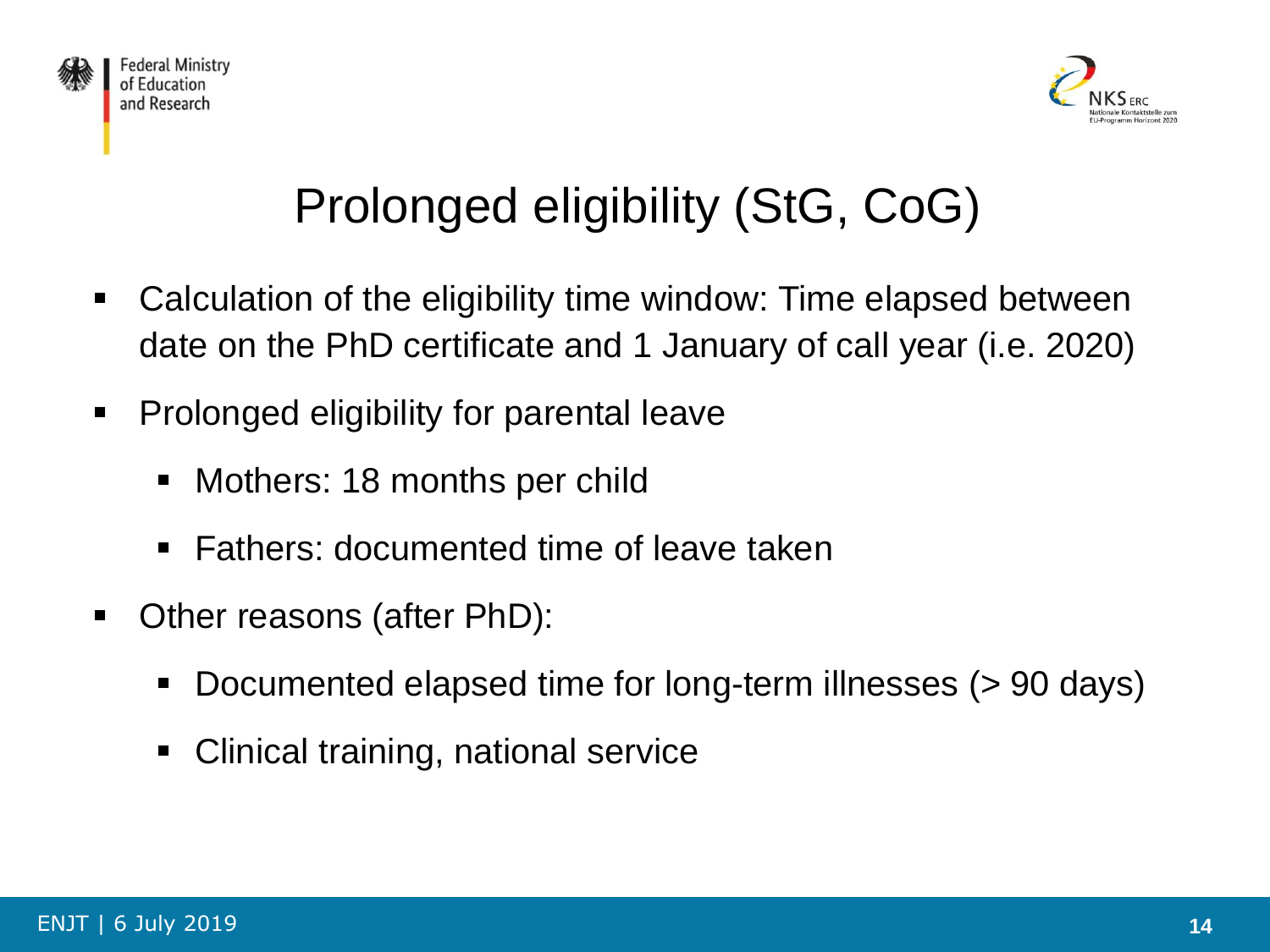



# Prolonged eligibility (StG, CoG)

- Calculation of the eligibility time window: Time elapsed between date on the PhD certificate and 1 January of call year (i.e. 2020)
- Prolonged eligibility for parental leave
	- Mothers: 18 months per child
	- Fathers: documented time of leave taken
- Other reasons (after PhD):
	- Documented elapsed time for long-term illnesses (> 90 days)
	- Clinical training, national service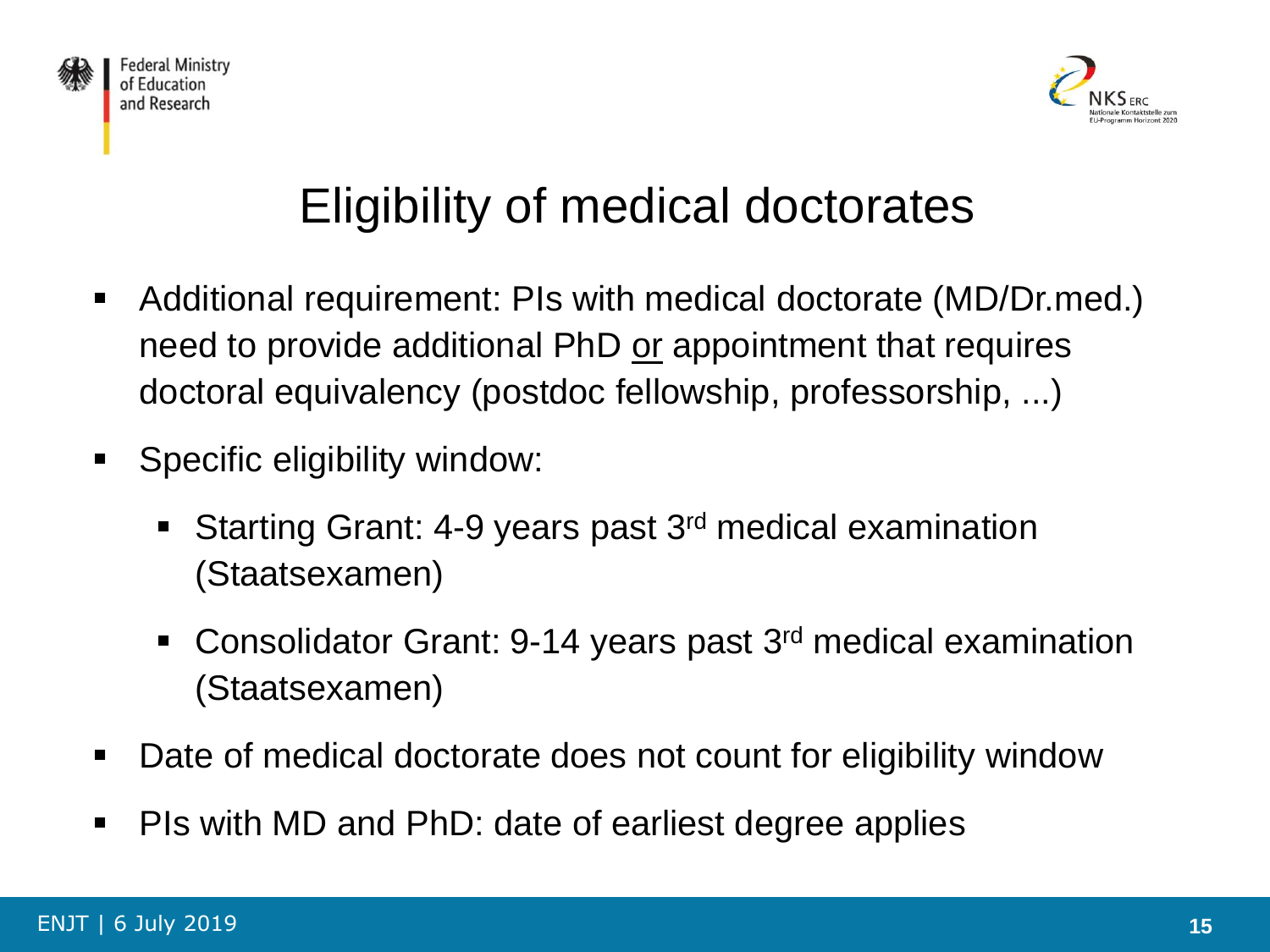



# Eligibility of medical doctorates

- Additional requirement: PIs with medical doctorate (MD/Dr.med.) need to provide additional PhD or appointment that requires doctoral equivalency (postdoc fellowship, professorship, ...)
- **Specific eligibility window:** 
	- Starting Grant: 4-9 years past 3<sup>rd</sup> medical examination (Staatsexamen)
	- Consolidator Grant: 9-14 years past 3<sup>rd</sup> medical examination (Staatsexamen)
- Date of medical doctorate does not count for eligibility window
- PIs with MD and PhD: date of earliest degree applies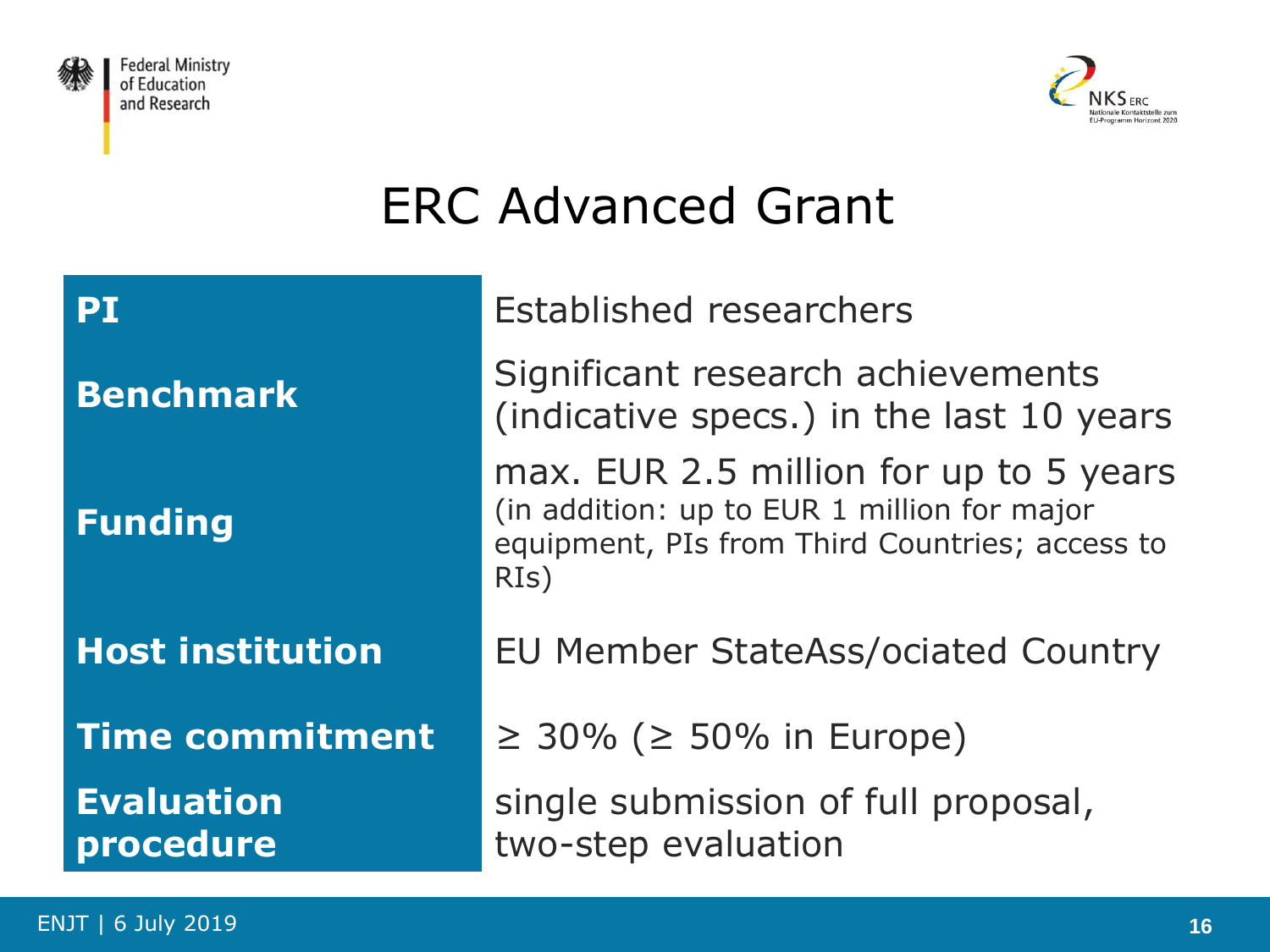



# ERC Advanced Grant

| <b>PT</b>                      | <b>Established researchers</b>                                                                                                                  |  |  |
|--------------------------------|-------------------------------------------------------------------------------------------------------------------------------------------------|--|--|
| <b>Benchmark</b>               | Significant research achievements<br>(indicative specs.) in the last 10 years                                                                   |  |  |
| <b>Funding</b>                 | max. EUR 2.5 million for up to 5 years<br>(in addition: up to EUR 1 million for major<br>equipment, PIs from Third Countries; access to<br>RIs) |  |  |
| <b>Host institution</b>        | <b>EU Member StateAss/ociated Country</b>                                                                                                       |  |  |
| <b>Time commitment</b>         | $\geq$ 30% ( $\geq$ 50% in Europe)                                                                                                              |  |  |
| <b>Evaluation</b><br>procedure | single submission of full proposal,<br>two-step evaluation                                                                                      |  |  |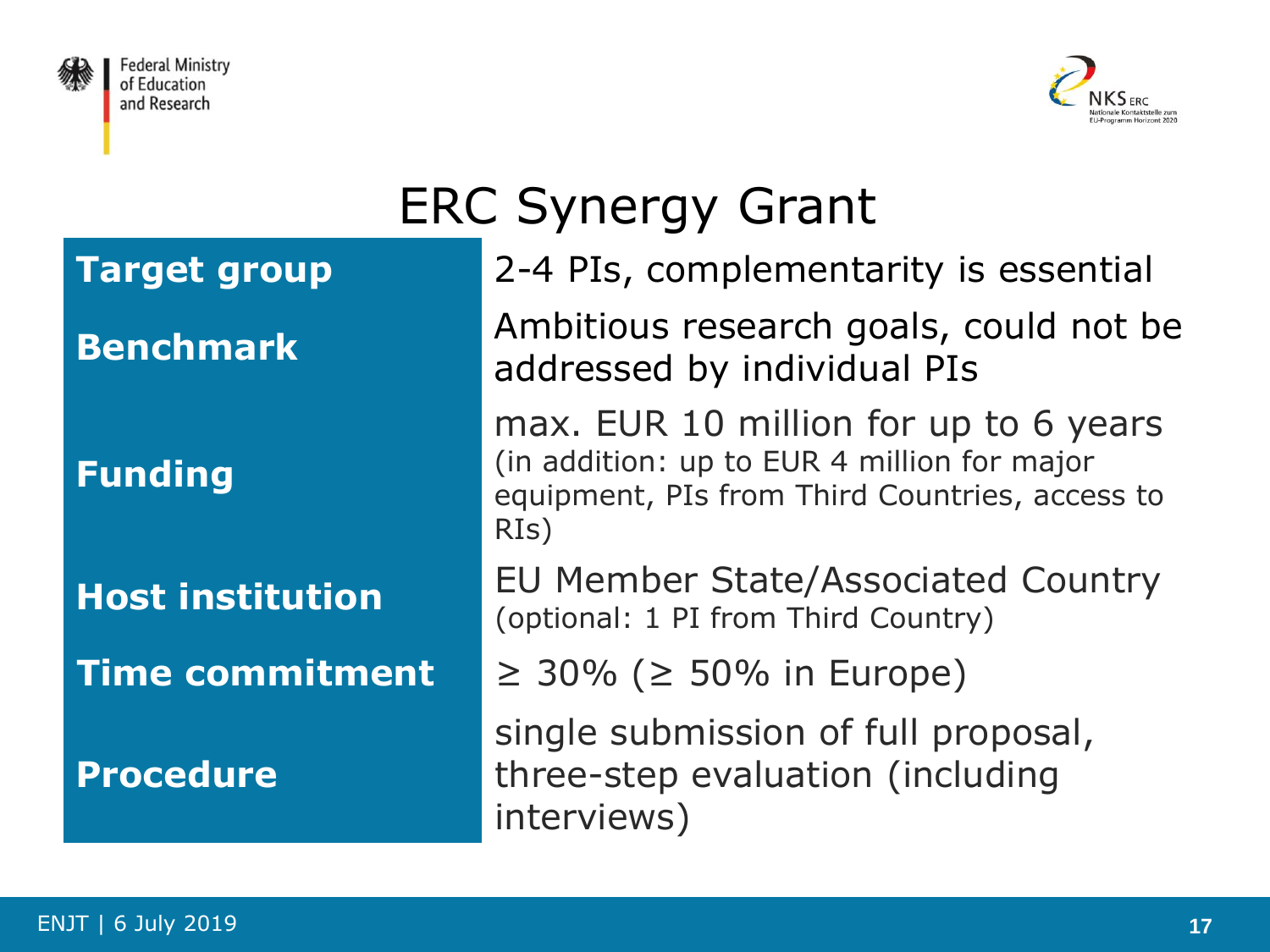



# ERC Synergy Grant

**Target group** 2-4 PIs, complementarity is essential

**Benchmark** Ambitious research goals, could not be addressed by individual PIs

> max. EUR 10 million for up to 6 years (in addition: up to EUR 4 million for major equipment, PIs from Third Countries, access to RIs)

**Host institution** EU Member State/Associated Country (optional: 1 PI from Third Country)

**Time commitment**  $\geq 30\%$  ( $\geq 50\%$  in Europe)

single submission of full proposal, three-step evaluation (including interviews)

**Funding**

**Procedure**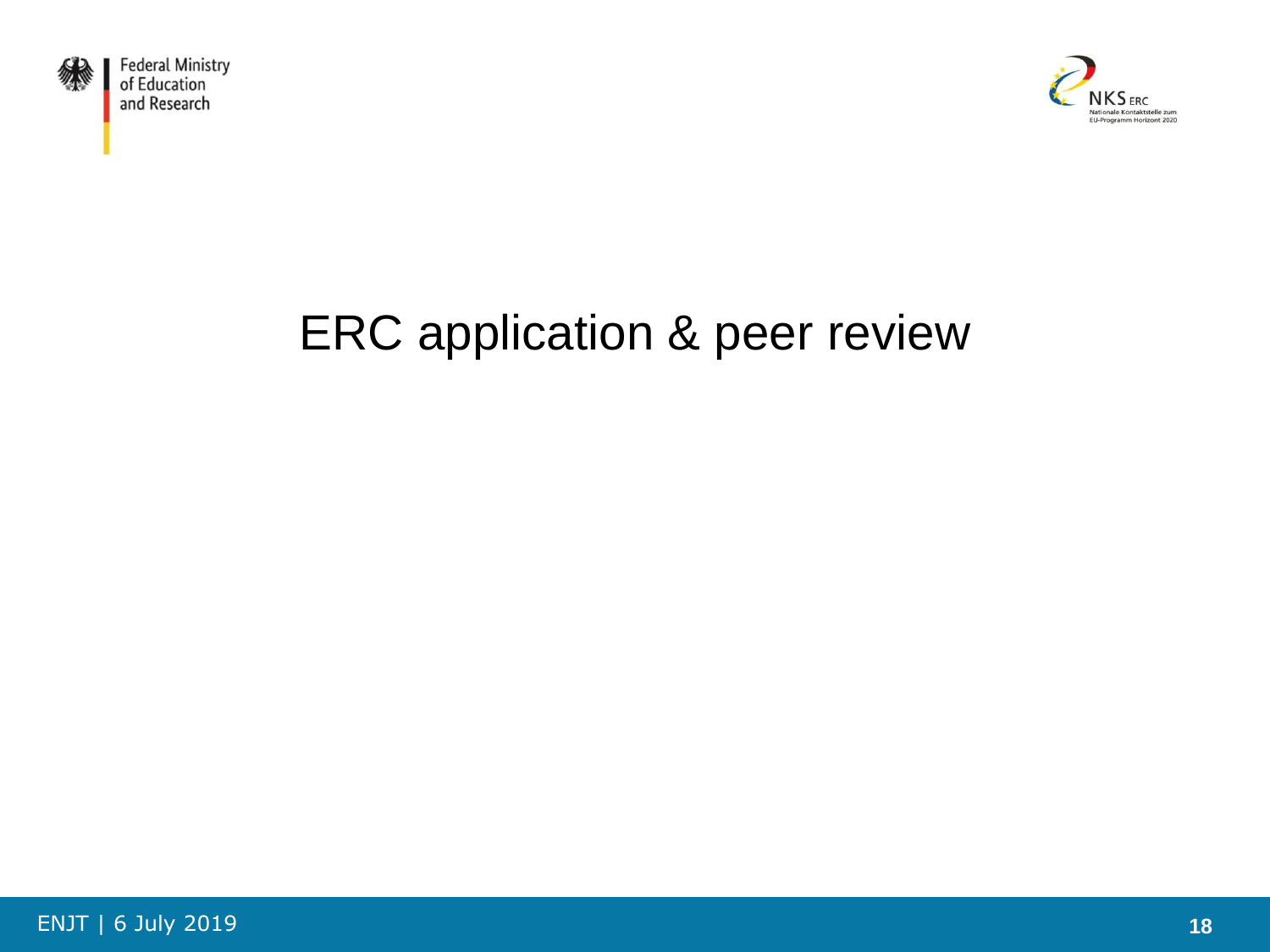



# ERC application & peer review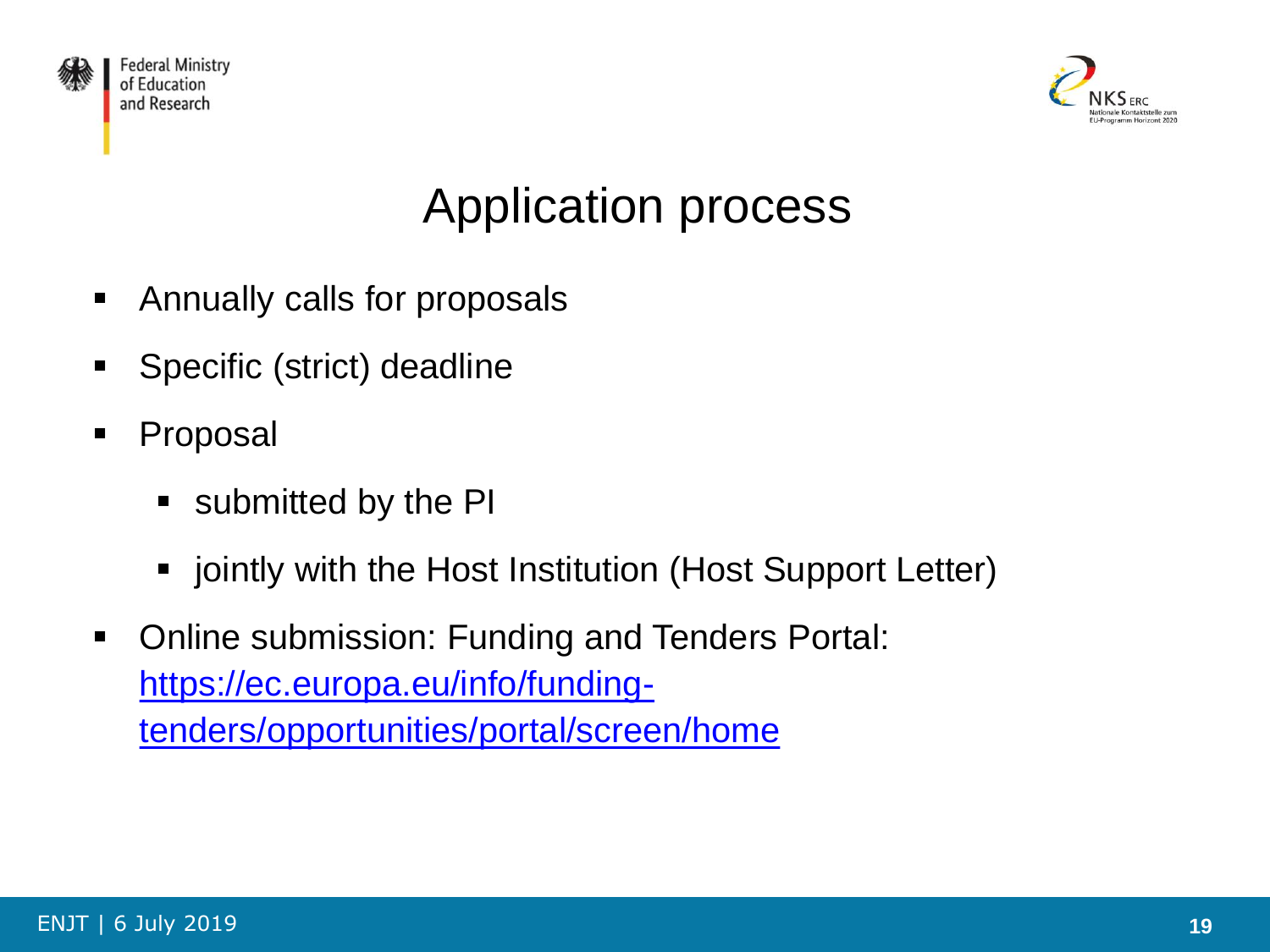



# Application process

- **Annually calls for proposals**
- **Specific (strict) deadline**
- Proposal
	- **submitted by the PI**
	- **jointly with the Host Institution (Host Support Letter)**
- **Online submission: Funding and Tenders Portal:** https://ec.europa.eu/info/funding[tenders/opportunities/portal/screen/home](https://ec.europa.eu/info/funding-tenders/opportunities/portal/screen/home)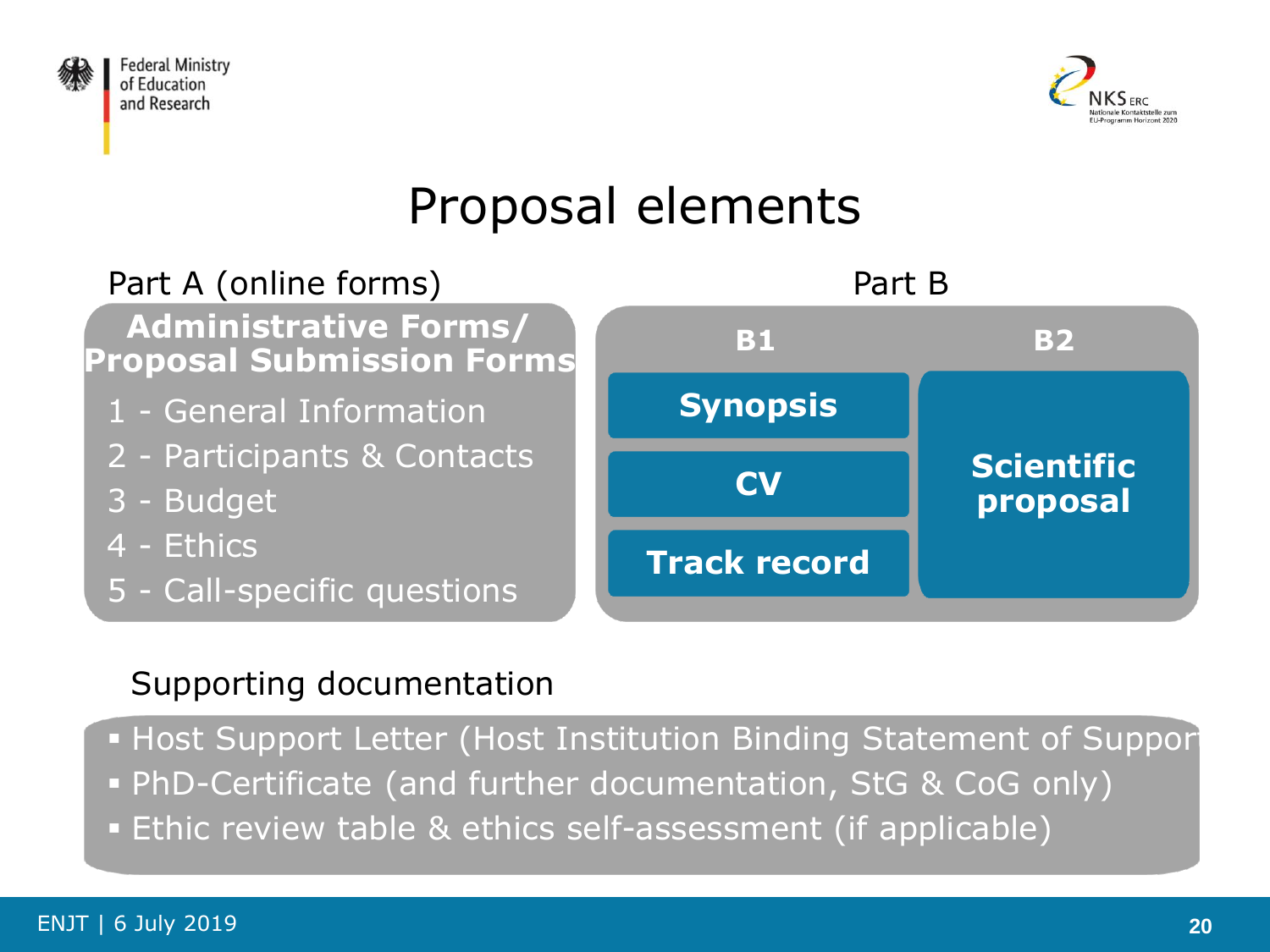



# Proposal elements



#### Supporting documentation

Host Support Letter (Host Institution Binding Statement of Suppor

- PhD-Certificate (and further documentation, StG & CoG only)
- Ethic review table & ethics self-assessment (if applicable)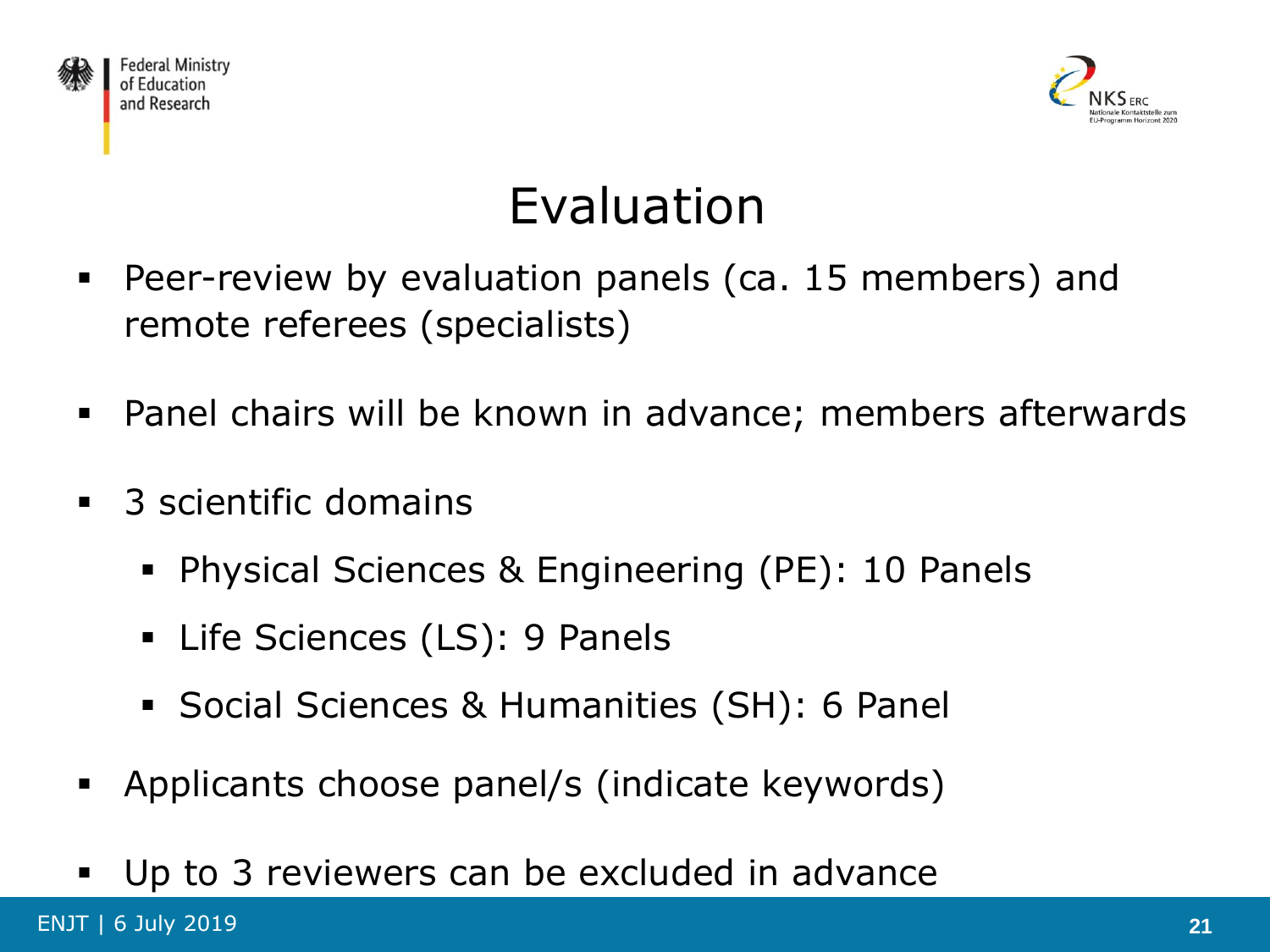



# Evaluation

- Peer-review by evaluation panels (ca. 15 members) and remote referees (specialists)
- Panel chairs will be known in advance; members afterwards
- 3 scientific domains
	- **Physical Sciences & Engineering (PE): 10 Panels**
	- **EXEC** Sciences (LS): 9 Panels
	- Social Sciences & Humanities (SH): 6 Panel
- Applicants choose panel/s (indicate keywords)
- Up to 3 reviewers can be excluded in advance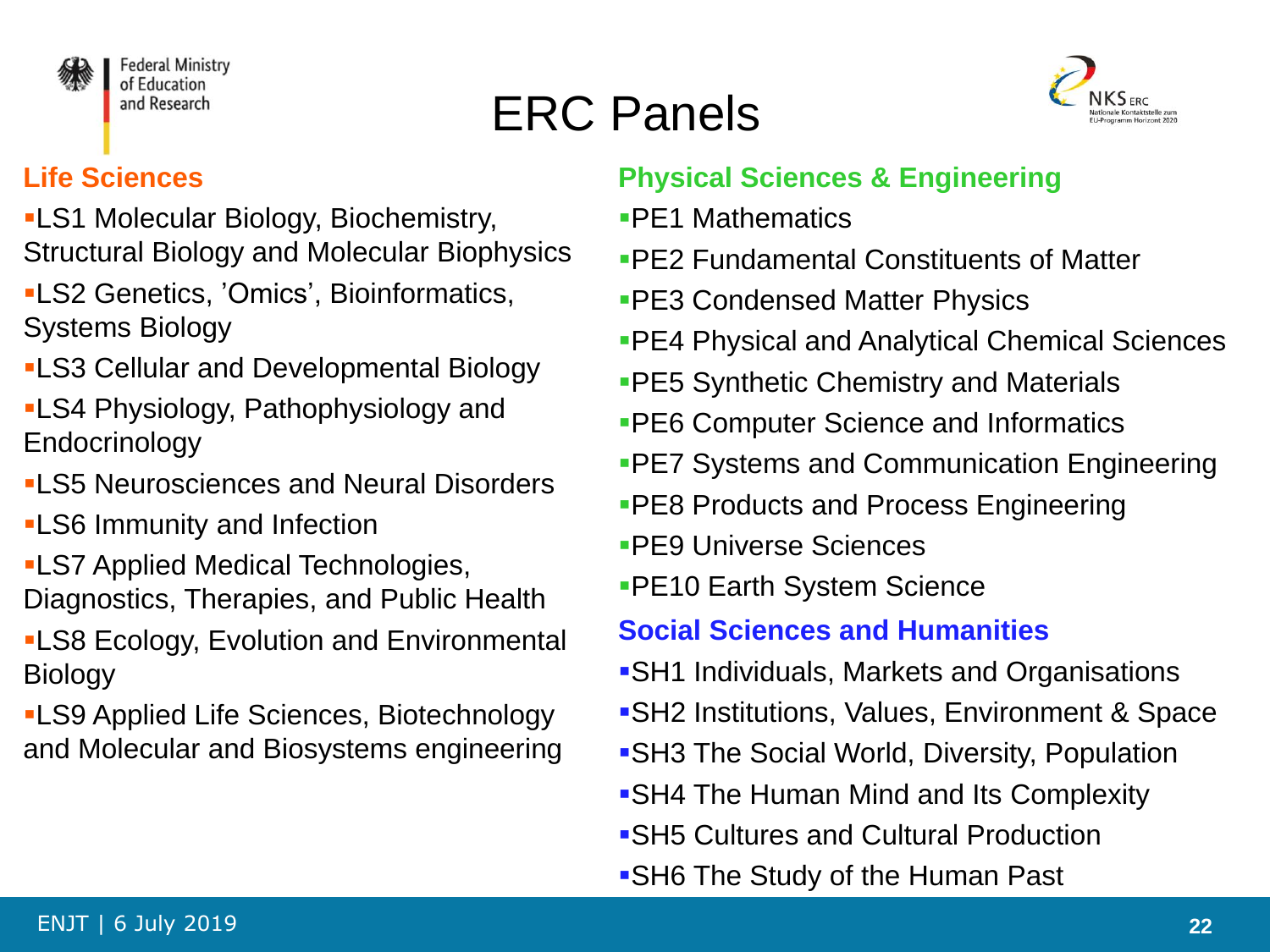

# ERC Panels



#### **Life Sciences**

- LS1 Molecular Biology, Biochemistry, Structural Biology and Molecular Biophysics
- LS2 Genetics, 'Omics', Bioinformatics, Systems Biology
- LS3 Cellular and Developmental Biology
- LS4 Physiology, Pathophysiology and Endocrinology
- **-LS5 Neurosciences and Neural Disorders**
- LS6 Immunity and Infection
- LS7 Applied Medical Technologies, Diagnostics, Therapies, and Public Health
- LS8 Ecology, Evolution and Environmental **Biology**
- LS9 Applied Life Sciences, Biotechnology and Molecular and Biosystems engineering

#### **Physical Sciences & Engineering**

- PE1 Mathematics
- PE2 Fundamental Constituents of Matter
- PE3 Condensed Matter Physics
- PE4 Physical and Analytical Chemical Sciences
- **PE5 Synthetic Chemistry and Materials**
- **PE6 Computer Science and Informatics**
- **PE7 Systems and Communication Engineering**
- **-PE8 Products and Process Engineering**
- PE9 Universe Sciences
- **PE10 Earth System Science**

#### **Social Sciences and Humanities**

- SH1 Individuals, Markets and Organisations
- SH2 Institutions, Values, Environment & Space
- SH3 The Social World, Diversity, Population
- SH4 The Human Mind and Its Complexity
- SH5 Cultures and Cultural Production
- SH6 The Study of the Human Past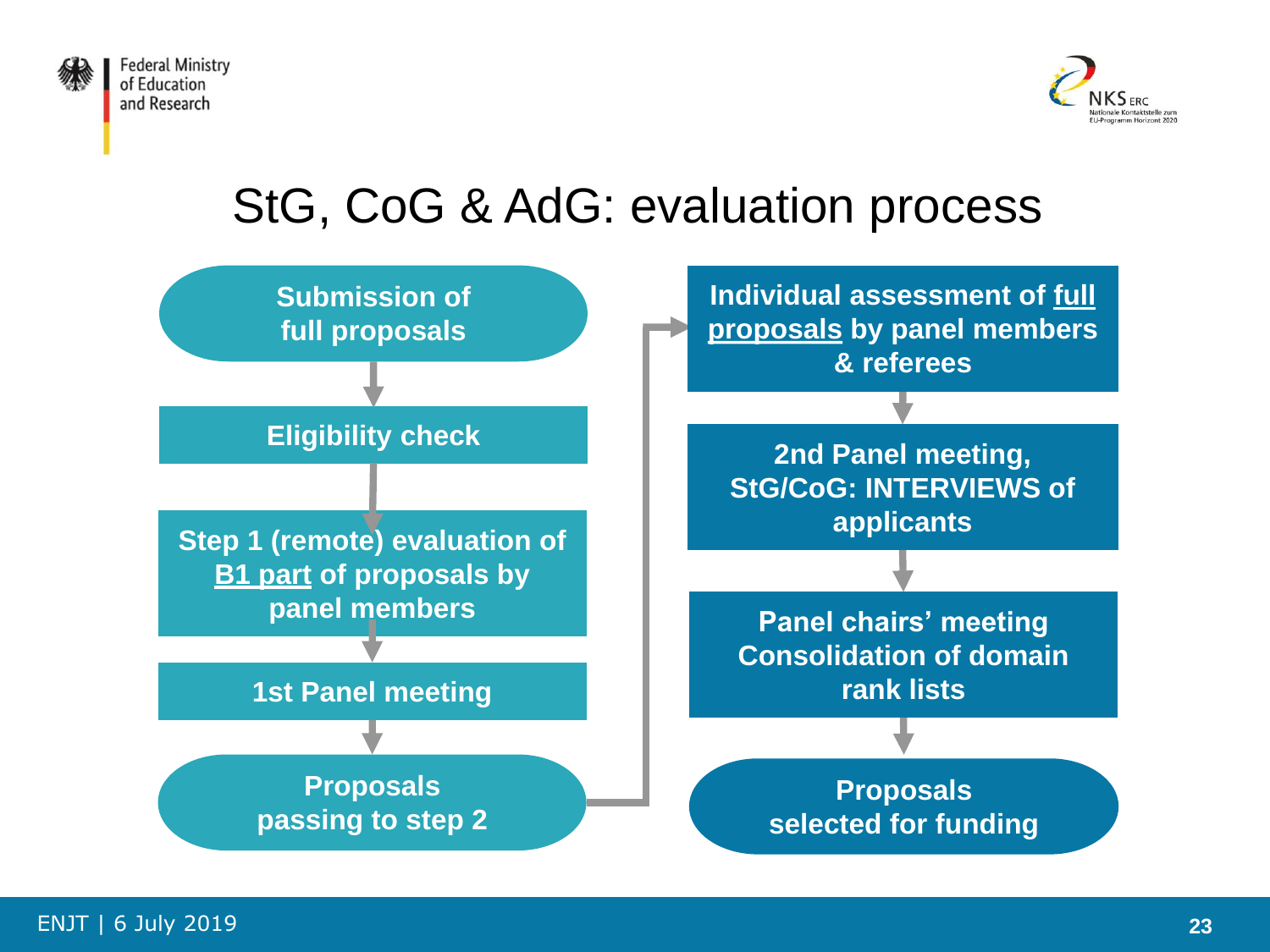



### StG, CoG & AdG: evaluation process

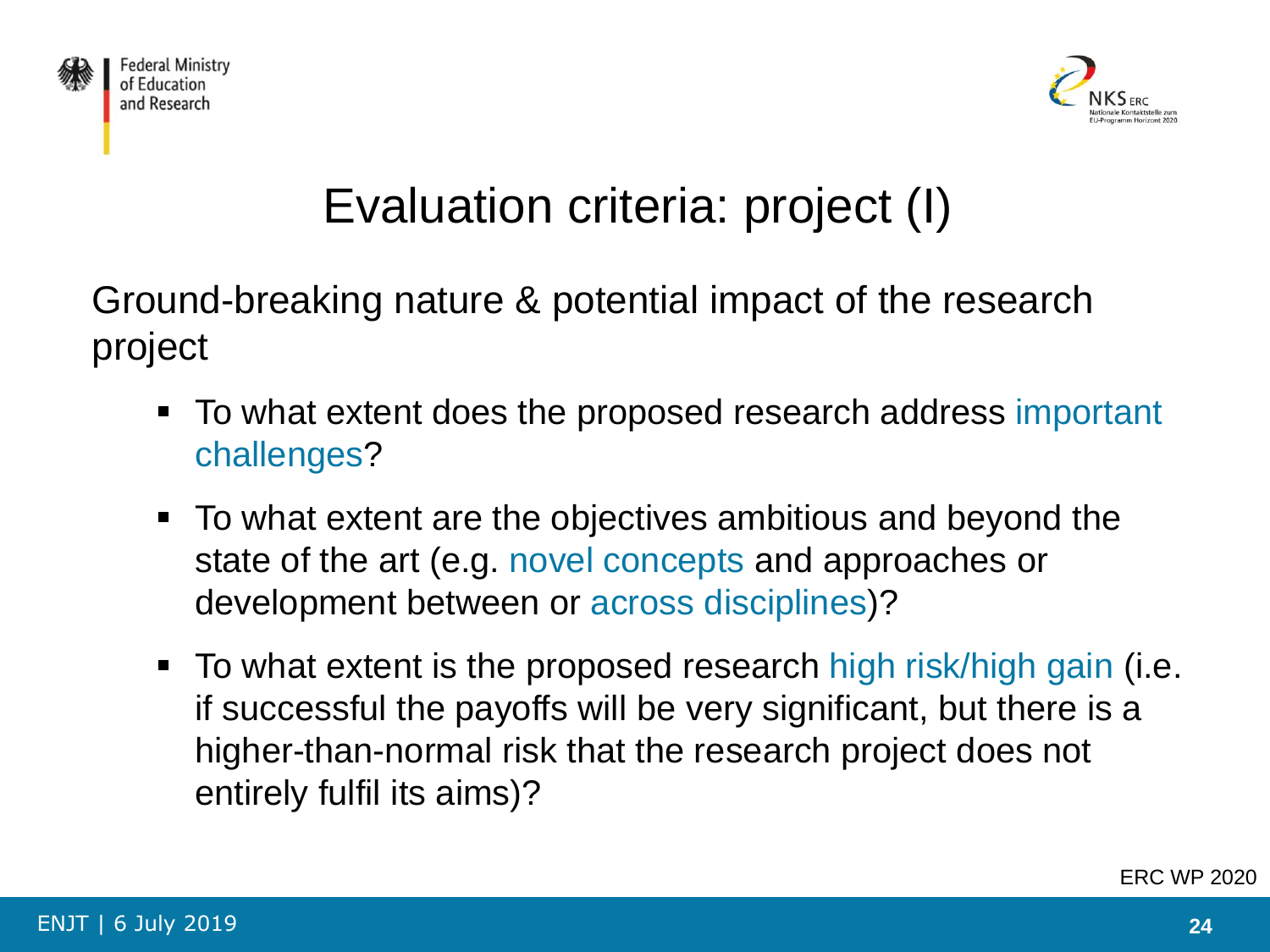



# Evaluation criteria: project (I)

Ground-breaking nature & potential impact of the research project

- To what extent does the proposed research address important challenges?
- To what extent are the objectives ambitious and beyond the state of the art (e.g. novel concepts and approaches or development between or across disciplines)?
- To what extent is the proposed research high risk/high gain (i.e. if successful the payoffs will be very significant, but there is a higher-than-normal risk that the research project does not entirely fulfil its aims)?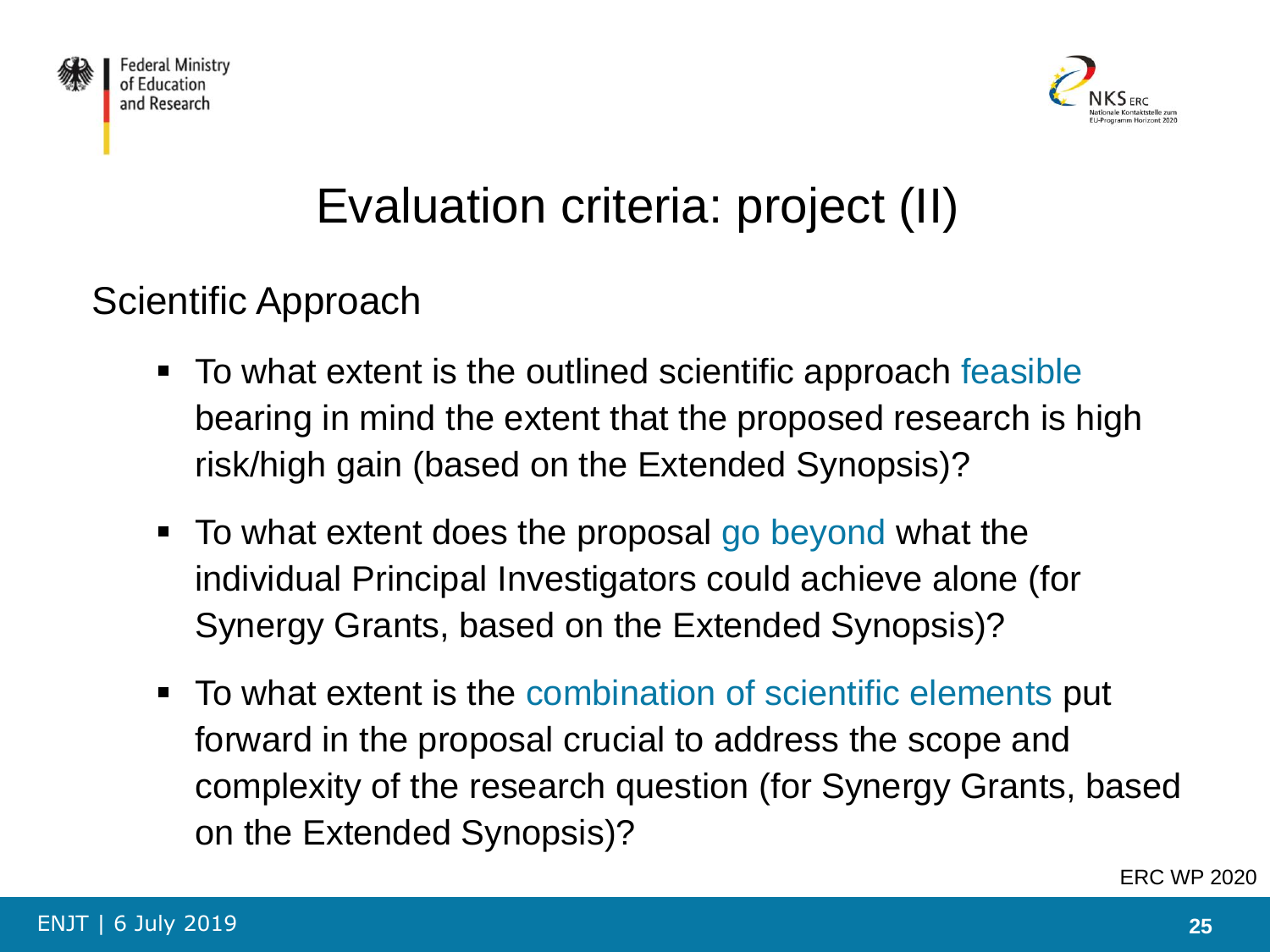



# Evaluation criteria: project (II)

Scientific Approach

- To what extent is the outlined scientific approach feasible bearing in mind the extent that the proposed research is high risk/high gain (based on the Extended Synopsis)?
- To what extent does the proposal go beyond what the individual Principal Investigators could achieve alone (for Synergy Grants, based on the Extended Synopsis)?
- To what extent is the combination of scientific elements put forward in the proposal crucial to address the scope and complexity of the research question (for Synergy Grants, based on the Extended Synopsis)?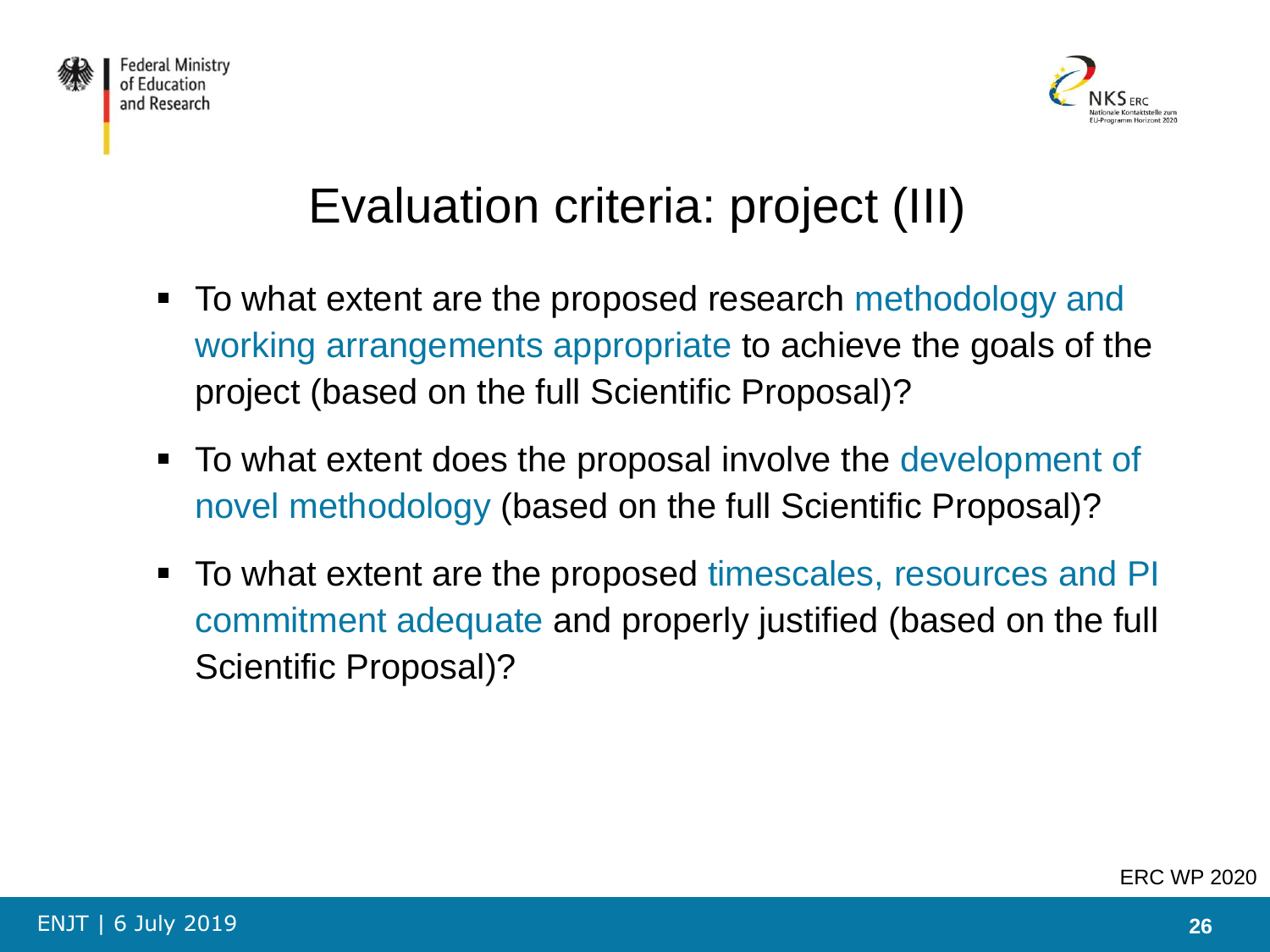



# Evaluation criteria: project (III)

- To what extent are the proposed research methodology and working arrangements appropriate to achieve the goals of the project (based on the full Scientific Proposal)?
- To what extent does the proposal involve the development of novel methodology (based on the full Scientific Proposal)?
- To what extent are the proposed timescales, resources and PI commitment adequate and properly justified (based on the full Scientific Proposal)?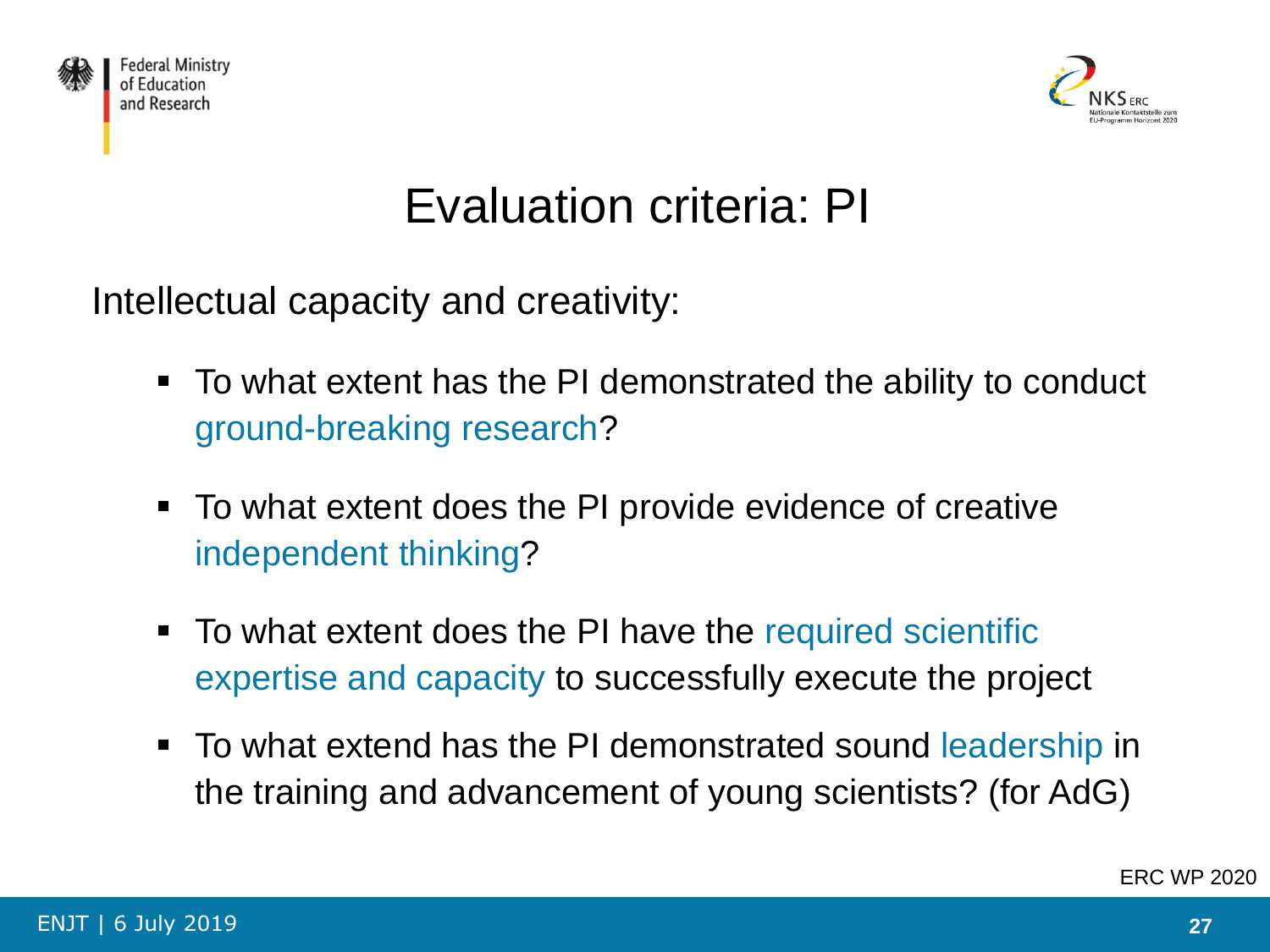



### Evaluation criteria: PI

Intellectual capacity and creativity:

- To what extent has the PI demonstrated the ability to conduct ground-breaking research?
- To what extent does the PI provide evidence of creative independent thinking?
- To what extent does the PI have the required scientific expertise and capacity to successfully execute the project
- To what extend has the PI demonstrated sound leadership in the training and advancement of young scientists? (for AdG)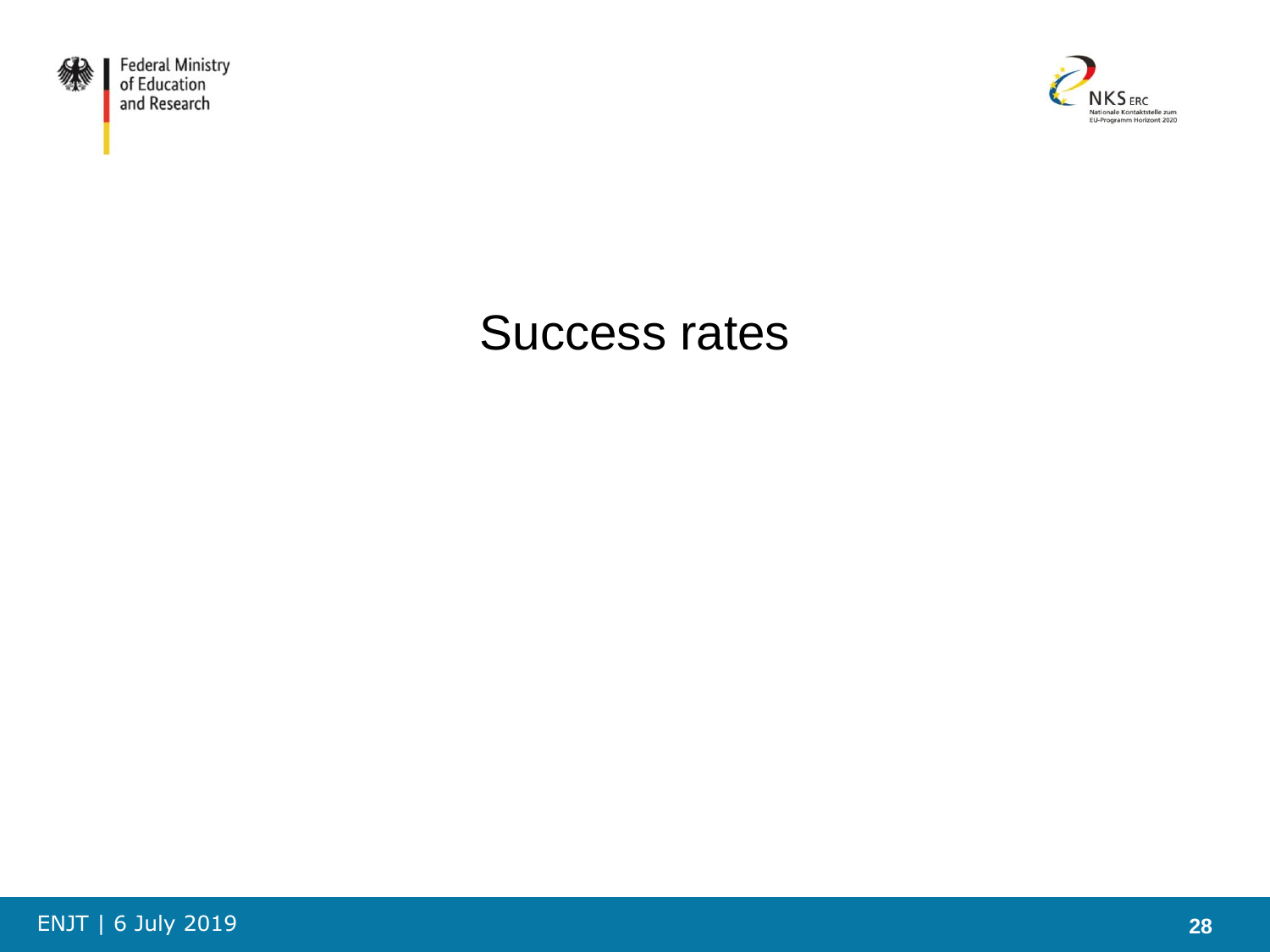



### Success rates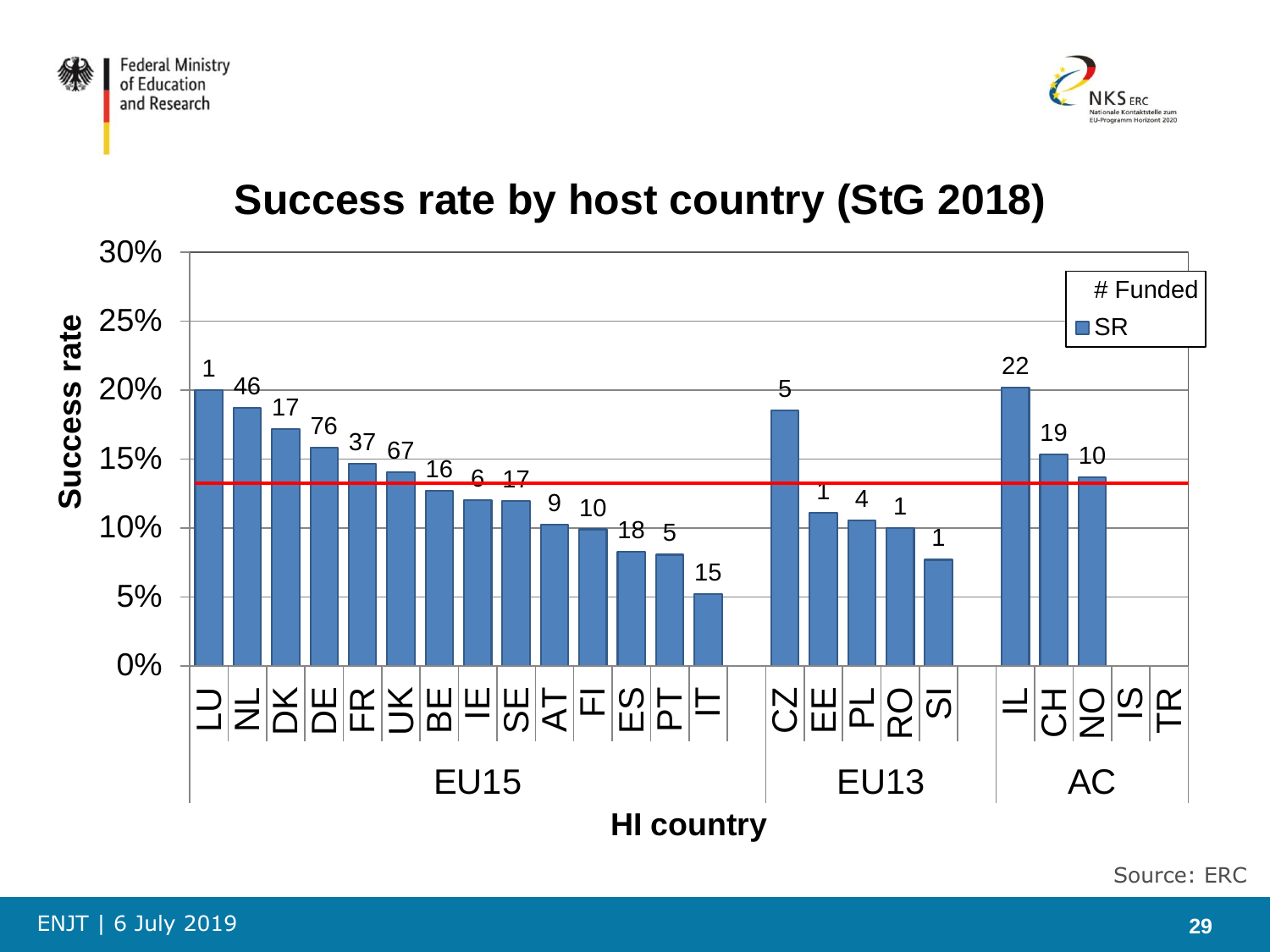



### **Success rate by host country (StG 2018)**



Source: ERC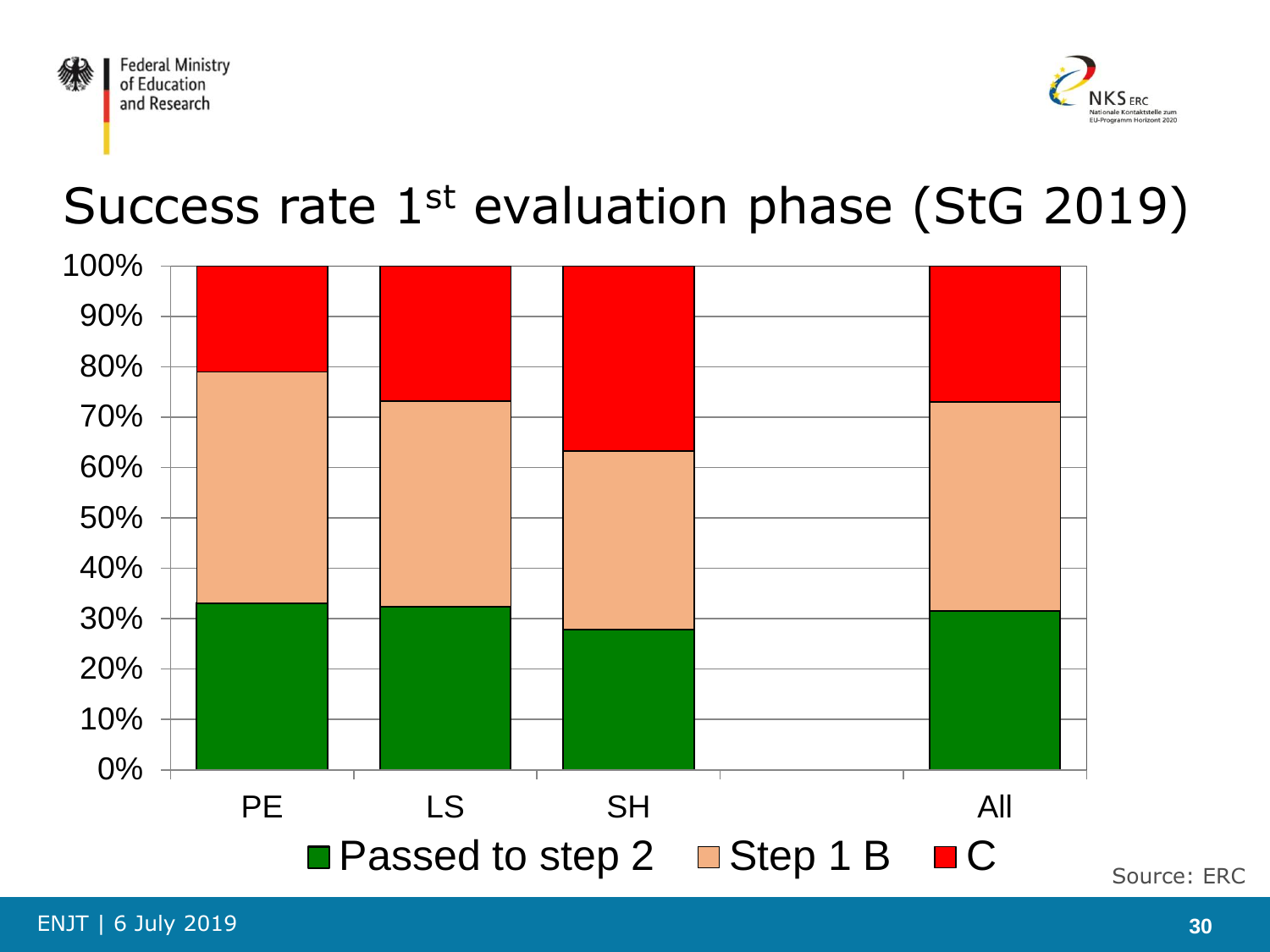



# Success rate 1<sup>st</sup> evaluation phase (StG 2019)



ENJT | 6 July 2019 **30**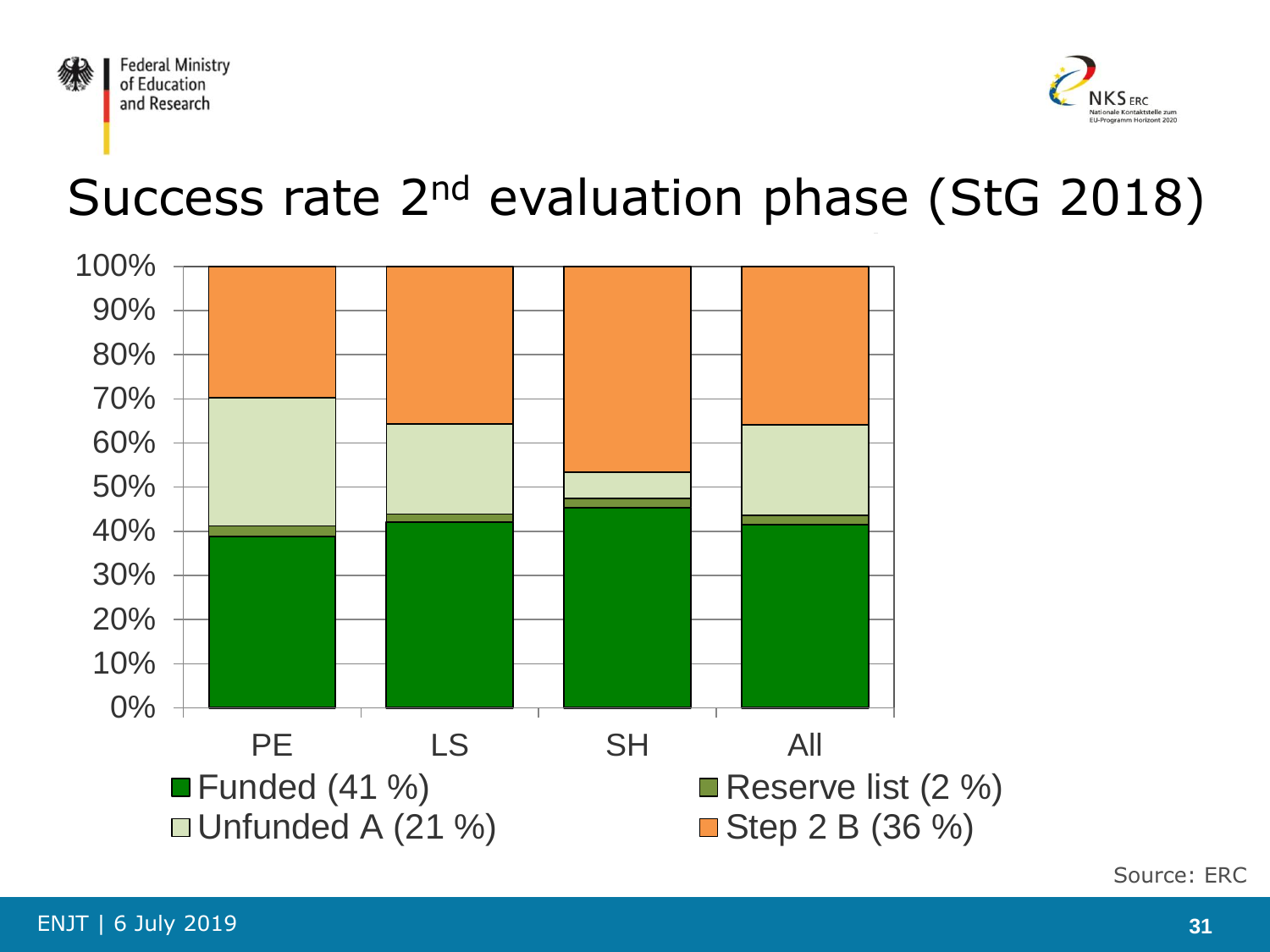



# Success rate 2<sup>nd</sup> evaluation phase (StG 2018)



Source: ERC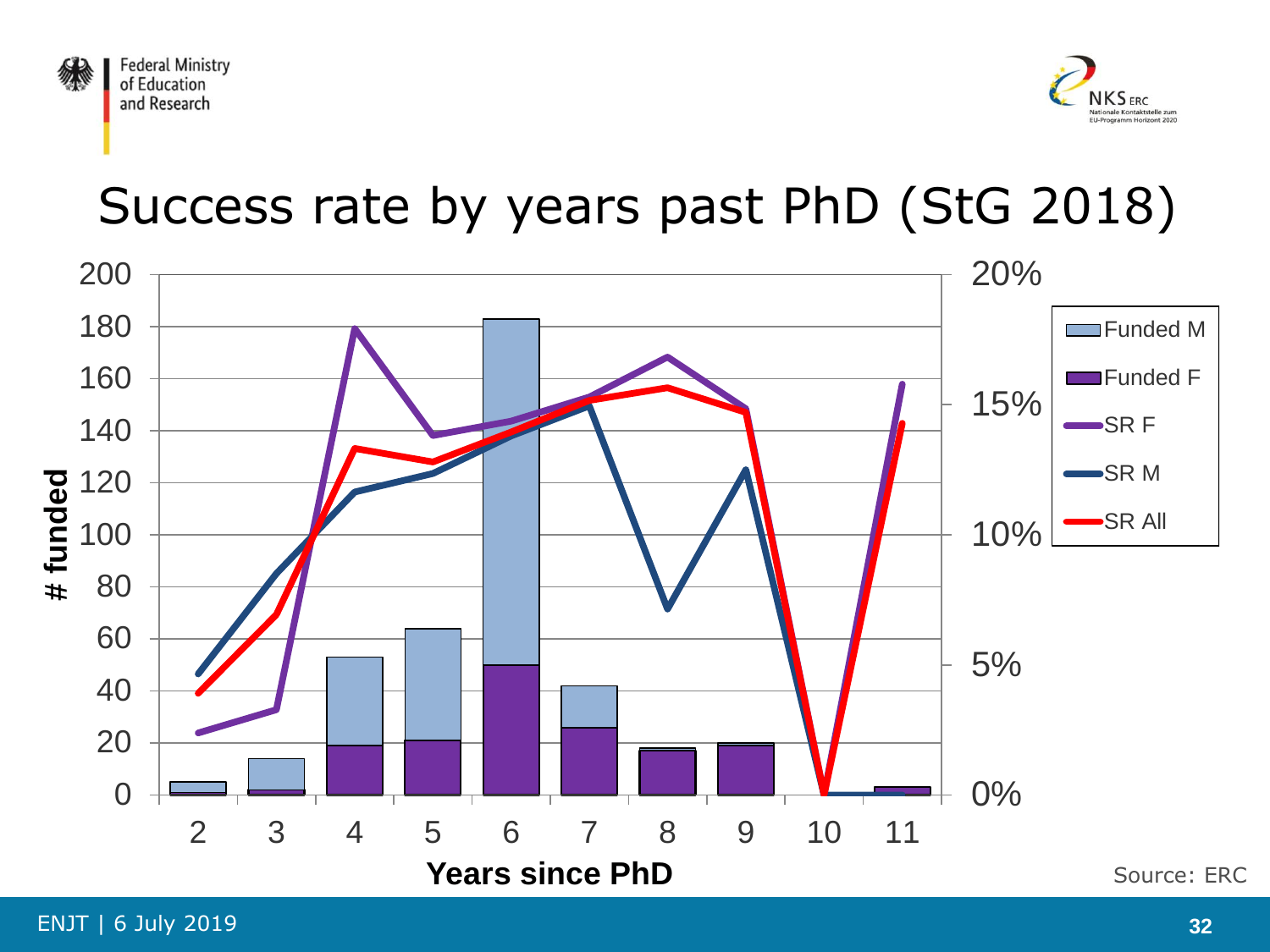



# Success rate by years past PhD (StG 2018)

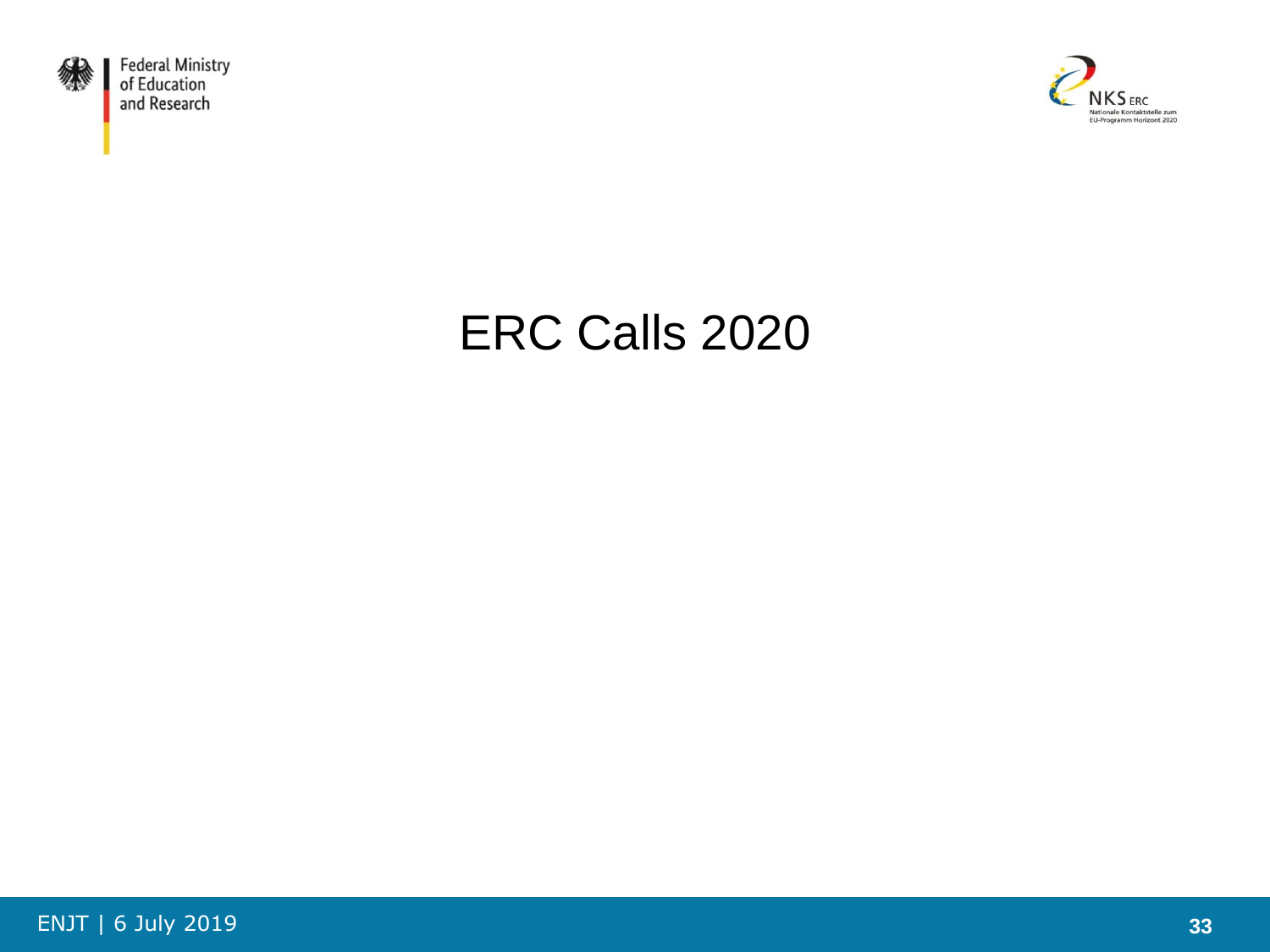



# ERC Calls 2020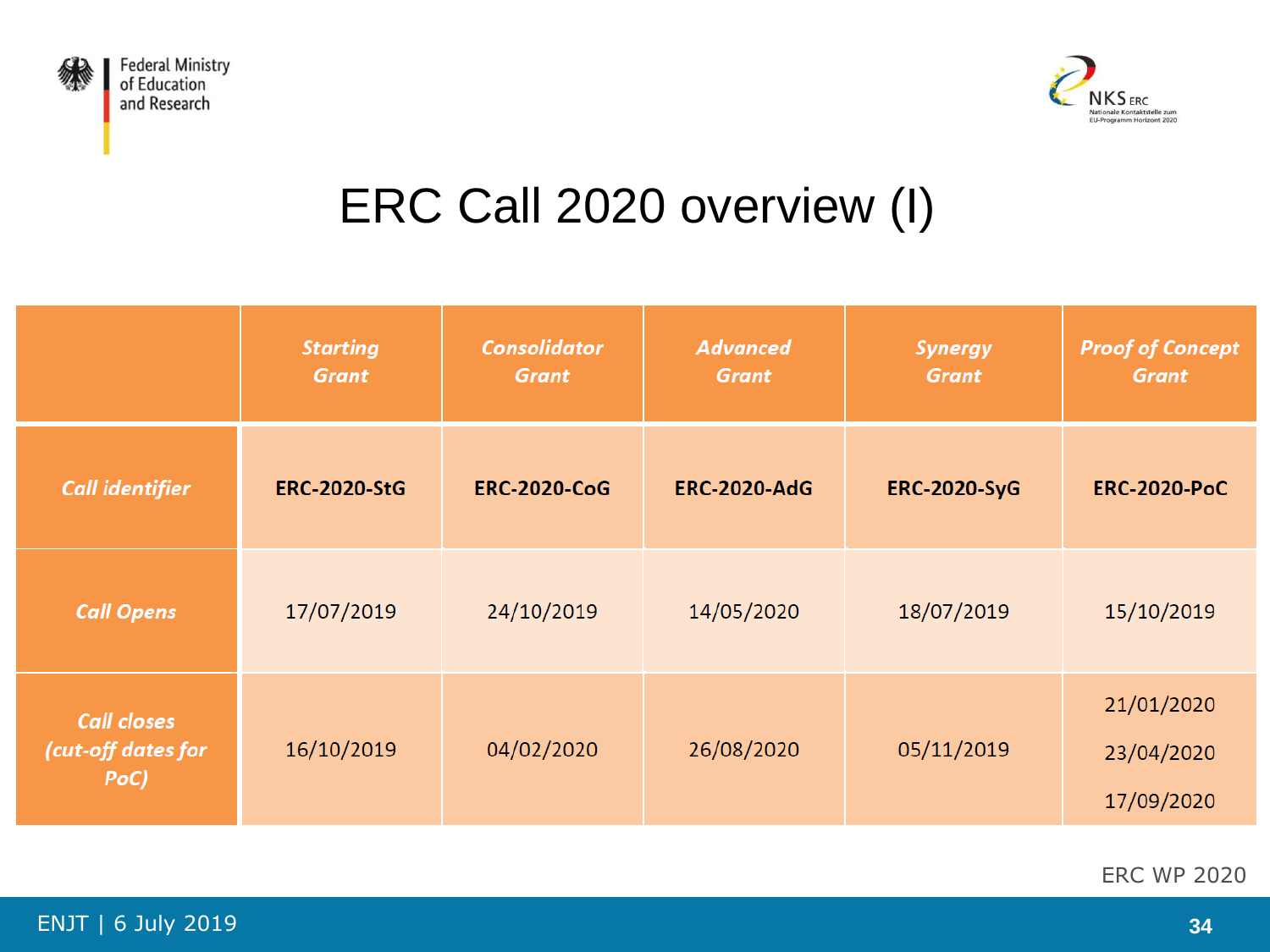



# ERC Call 2020 overview (I)

|                                                  | <b>Starting</b><br><b>Grant</b> | <b>Consolidator</b><br><b>Grant</b> | <b>Advanced</b><br><b>Grant</b> | <b>Synergy</b><br><b>Grant</b> | <b>Proof of Concept</b><br><b>Grant</b> |
|--------------------------------------------------|---------------------------------|-------------------------------------|---------------------------------|--------------------------------|-----------------------------------------|
| <b>Call identifier</b>                           | <b>ERC-2020-StG</b>             | <b>ERC-2020-CoG</b>                 | <b>ERC-2020-AdG</b>             | <b>ERC-2020-SyG</b>            | <b>ERC-2020-PoC</b>                     |
| <b>Call Opens</b>                                | 17/07/2019                      | 24/10/2019                          | 14/05/2020                      | 18/07/2019                     | 15/10/2019                              |
| <b>Call closes</b><br>(cut-off dates for<br>PoC) | 16/10/2019                      | 04/02/2020                          | 26/08/2020                      | 05/11/2019                     | 21/01/2020<br>23/04/2020<br>17/09/2020  |

ERC WP 2020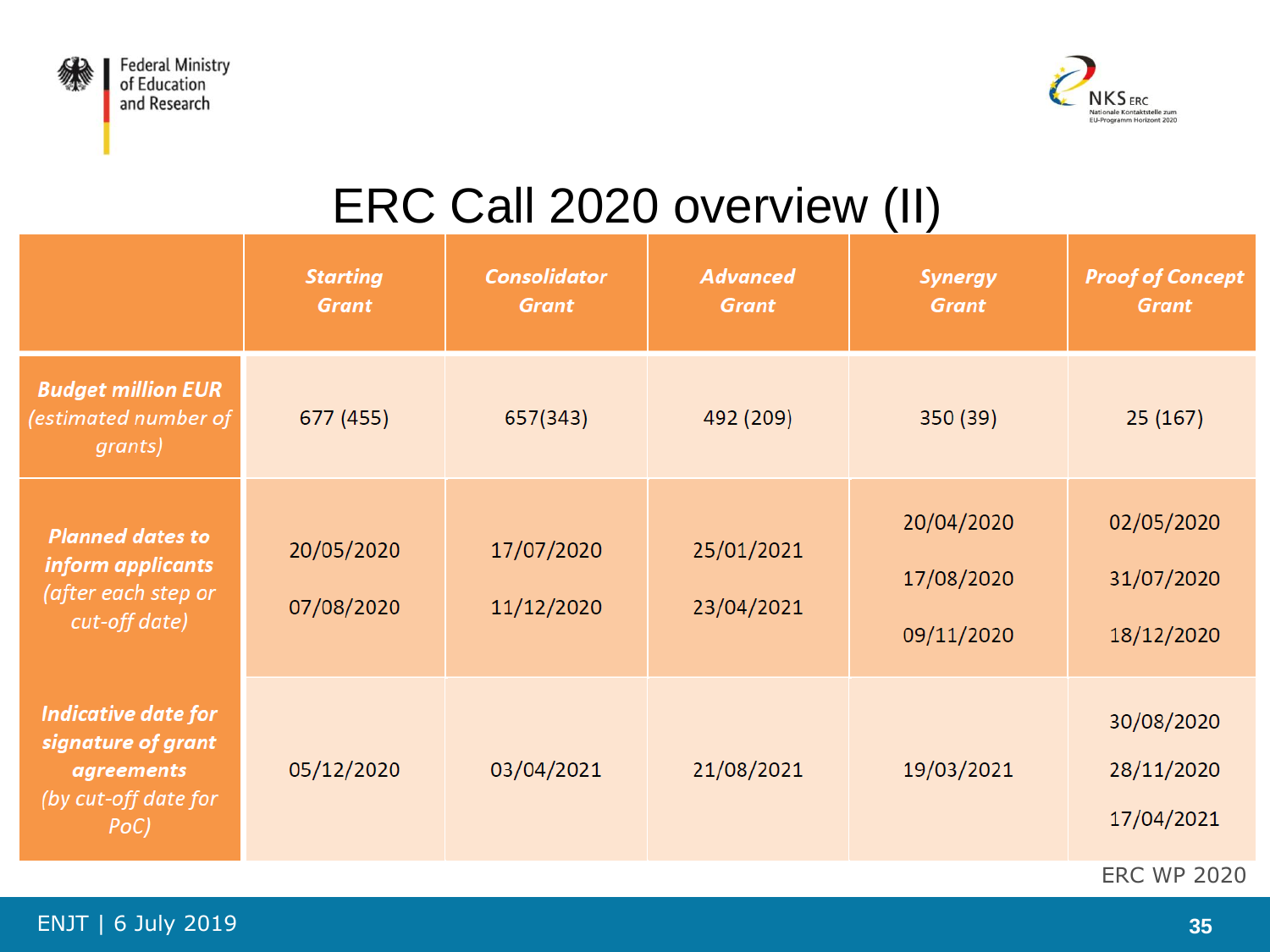



# ERC Call 2020 overview (II)

|                                                                                                       | <b>Starting</b><br><b>Grant</b> | <b>Consolidator</b><br><b>Grant</b> | <b>Advanced</b><br><b>Grant</b> | <b>Synergy</b><br><b>Grant</b>         | <b>Proof of Concept</b><br><b>Grant</b> |
|-------------------------------------------------------------------------------------------------------|---------------------------------|-------------------------------------|---------------------------------|----------------------------------------|-----------------------------------------|
| <b>Budget million EUR</b><br>(estimated number of<br>grants)                                          | 677 (455)                       | 657(343)                            | 492 (209)                       | 350 (39)                               | 25(167)                                 |
| <b>Planned dates to</b><br>inform applicants<br>(after each step or<br>cut-off date)                  | 20/05/2020<br>07/08/2020        | 17/07/2020<br>11/12/2020            | 25/01/2021<br>23/04/2021        | 20/04/2020<br>17/08/2020<br>09/11/2020 | 02/05/2020<br>31/07/2020<br>18/12/2020  |
| <b>Indicative date for</b><br>signature of grant<br><i>agreements</i><br>(by cut-off date for<br>PoC) | 05/12/2020                      | 03/04/2021                          | 21/08/2021                      | 19/03/2021                             | 30/08/2020<br>28/11/2020<br>17/04/2021  |
|                                                                                                       |                                 |                                     |                                 |                                        | <b>ERC WP 2020</b>                      |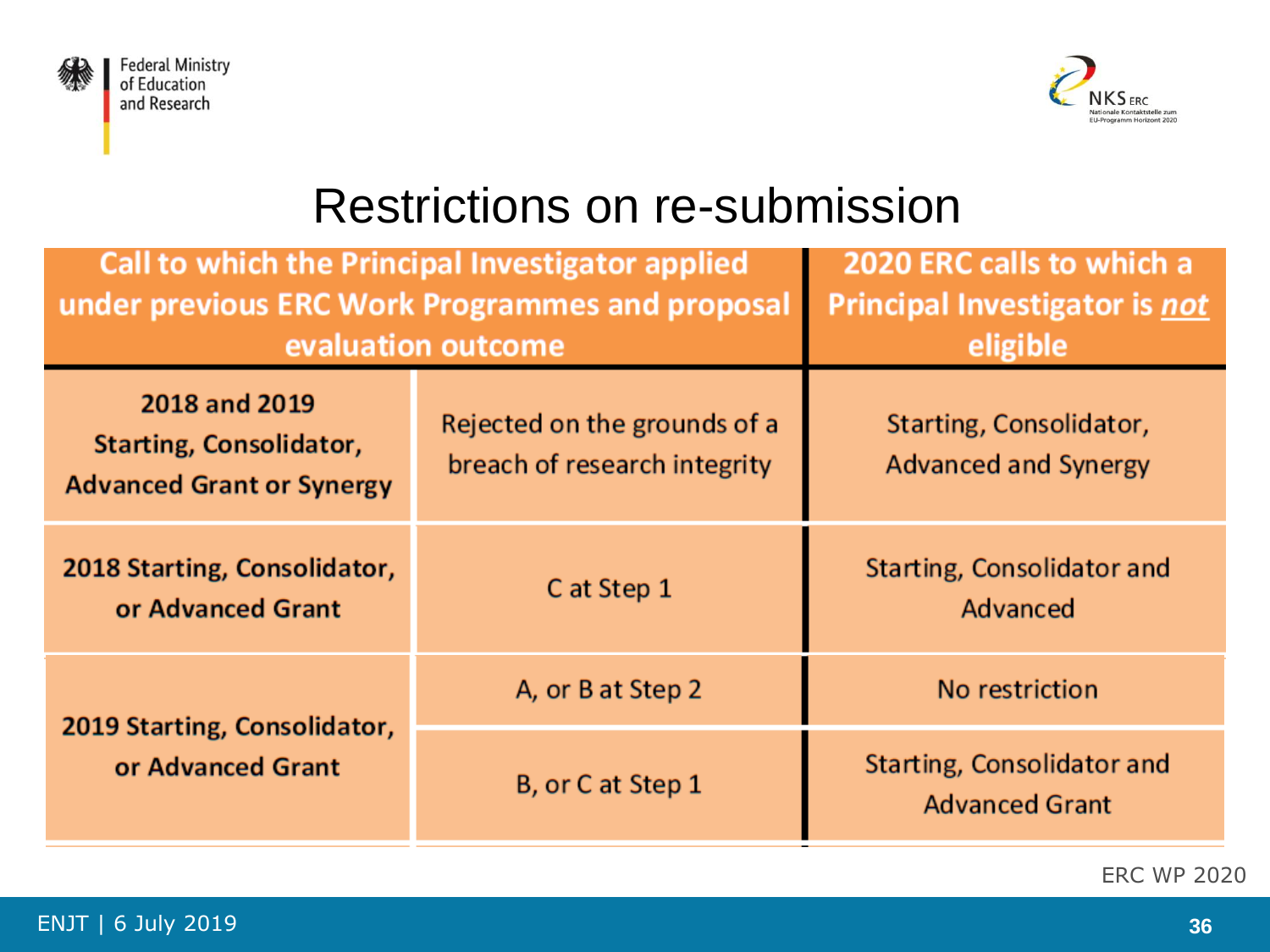



### Restrictions on re-submission

| <b>Call to which the Principal Investigator applied</b><br>under previous ERC Work Programmes and proposal<br>evaluation outcome | 2020 ERC calls to which a<br><b>Principal Investigator is not</b><br>eligible |                                                        |  |
|----------------------------------------------------------------------------------------------------------------------------------|-------------------------------------------------------------------------------|--------------------------------------------------------|--|
| 2018 and 2019<br><b>Starting, Consolidator,</b><br><b>Advanced Grant or Synergy</b>                                              | Rejected on the grounds of a<br>breach of research integrity                  | Starting, Consolidator,<br><b>Advanced and Synergy</b> |  |
| 2018 Starting, Consolidator,<br>or Advanced Grant                                                                                | C at Step 1                                                                   | Starting, Consolidator and<br>Advanced                 |  |
| 2019 Starting, Consolidator,                                                                                                     | A, or B at Step 2                                                             | No restriction                                         |  |
| or Advanced Grant                                                                                                                | B, or C at Step 1                                                             | Starting, Consolidator and<br><b>Advanced Grant</b>    |  |

ERC WP 2020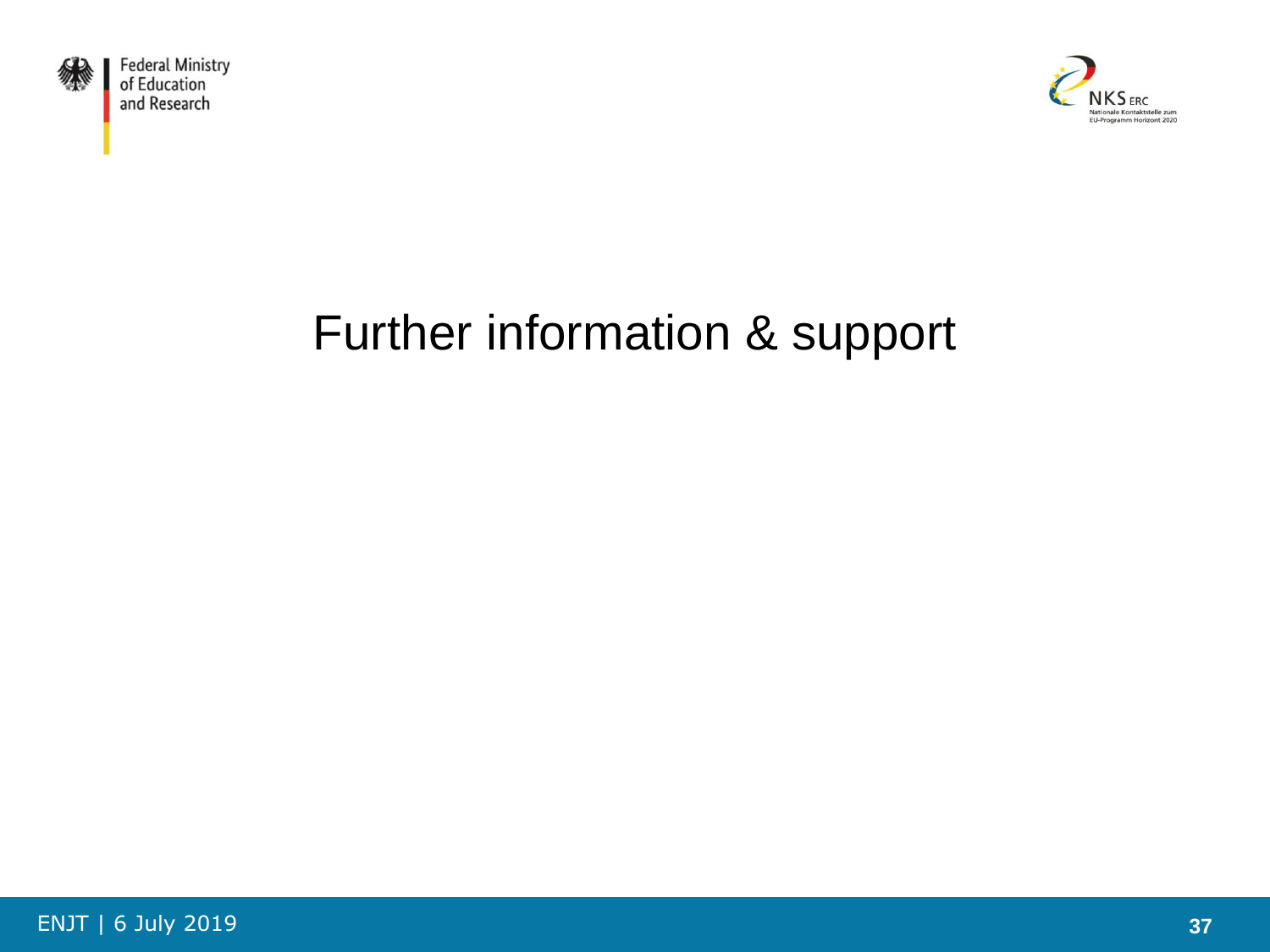



# Further information & support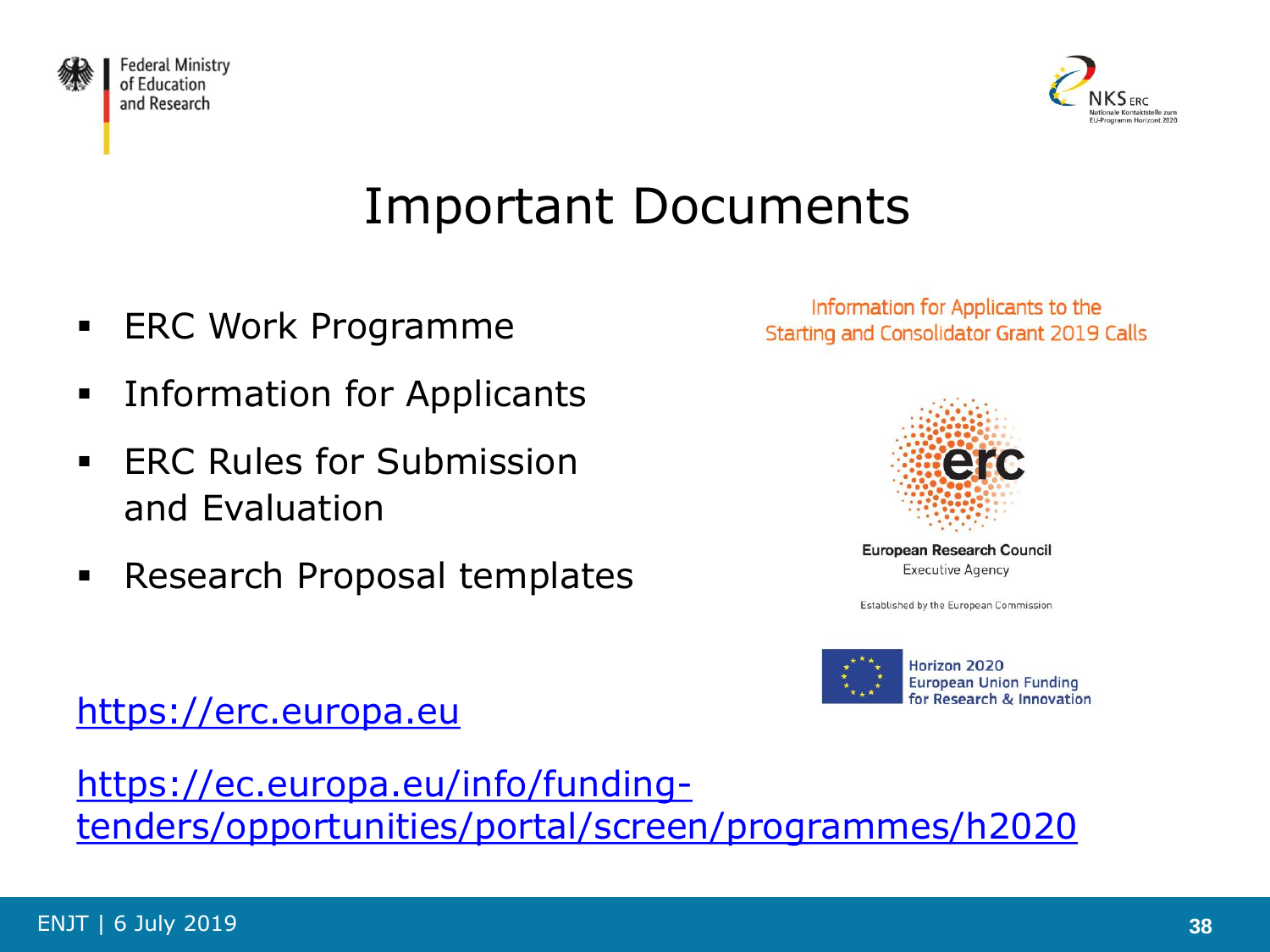



# Important Documents

**ERC Work Programme** 

[https://erc.europa.eu](https://erc.europa.eu/)

- **Information for Applicants**
- **ERC Rules for Submission** and Evaluation
- **Research Proposal templates**

Information for Applicants to the **Starting and Consolidator Grant 2019 Calls** 



European Research Council **Executive Agency** 

Established by the European Commission



Horizon 2020 **European Union Funding** for Research & Innovation

https://ec.europa.eu/info/funding[tenders/opportunities/portal/screen/programmes/h2020](https://ec.europa.eu/info/funding-tenders/opportunities/portal/screen/programmes/h2020)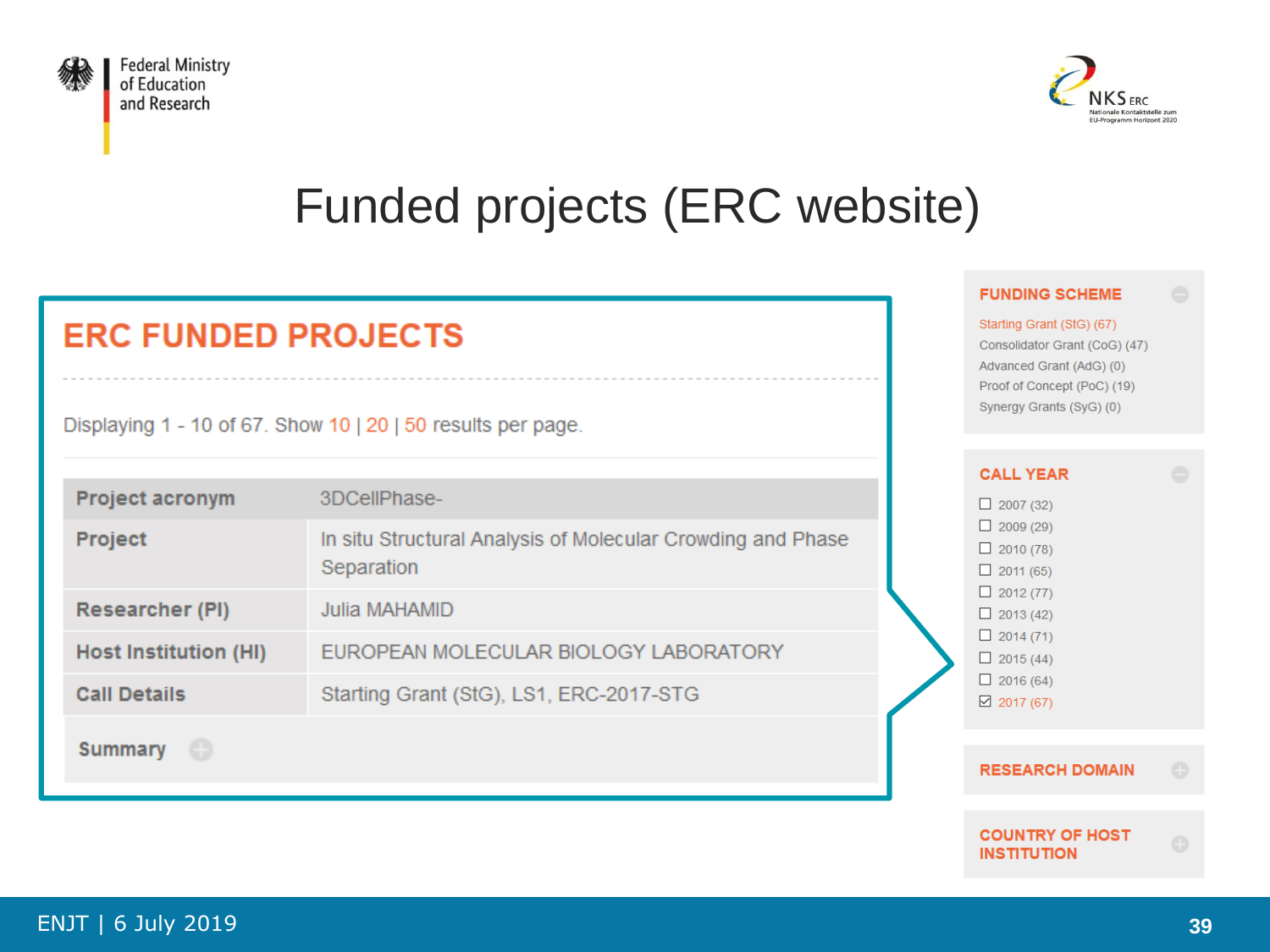



**FUNDING SCHEME** Starting Grant (StG) (67)

Consolidator Grant (CoG) (47) Advanced Grant (AdG) (0) Proof of Concept (PoC) (19) Synergy Grants (SyG) (0)

# Funded projects (ERC website)

#### **ERC FUNDED PROJECTS**

Displaying 1 - 10 of 67. Show 10 | 20 | 50 results per page.

|                              |                                                                           | <b>CALL YEAR</b>                                         |
|------------------------------|---------------------------------------------------------------------------|----------------------------------------------------------|
| Project acronym              | 3DCellPhase-                                                              | $\Box$ 2007 (32)                                         |
| Project                      | In situ Structural Analysis of Molecular Crowding and Phase<br>Separation | $\Box$ 2009 (29)<br>$\Box$ 2010 (78)<br>$\Box$ 2011 (65) |
| Researcher (PI)              | Julia MAHAMID                                                             | $\Box$ 2012 (77)<br>$\Box$ 2013 (42)                     |
| <b>Host Institution (HI)</b> | EUROPEAN MOLECULAR BIOLOGY LABORATORY                                     | $\Box$ 2014 (71)<br>$\Box$ 2015 (44)                     |
| <b>Call Details</b>          | Starting Grant (StG), LS1, ERC-2017-STG                                   | $\Box$ 2016 (64)<br>$\boxtimes$ 2017 (67)                |
| ⊕<br>Summary                 |                                                                           |                                                          |
|                              |                                                                           | <b>RESEARCH DOMAIN</b>                                   |

#### **COUNTRY OF HOST INSTITUTION**